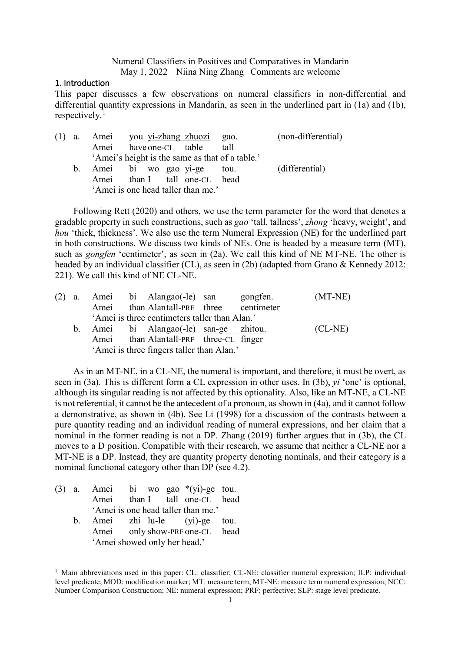Numeral Classifiers in Positives and Comparatives in Mandarin May 1, 2022 Niina Ning Zhang Comments are welcome

## <span id="page-0-4"></span>1. Introduction

This paper discusses a few observations on numeral classifiers in non-differential and differential quantity expressions in Mandarin, as seen in the underlined part in [\(1a](#page-0-0)) and [\(1b](#page-0-0)), respectively. [1](#page-0-3)

<span id="page-0-0"></span>

| (1) |    | a. Amei you yi-zhang zhuozi gao.   |  |                                                 | (non-differential) |
|-----|----|------------------------------------|--|-------------------------------------------------|--------------------|
|     |    | Amei have one-CL table             |  | tall                                            |                    |
|     |    |                                    |  | 'Amei's height is the same as that of a table.' |                    |
|     | b. | Amei bi wo gao yi-ge tou.          |  |                                                 | (differential)     |
|     |    | Amei than I tall one-CL head       |  |                                                 |                    |
|     |    | 'Amei is one head taller than me.' |  |                                                 |                    |

Following Rett (2020) and others, we use the term parameter for the word that denotes a gradable property in such constructions, such as *gao* 'tall, tallness', *zhong* 'heavy, weight', and *hou* 'thick, thickness'. We also use the term Numeral Expression (NE) for the underlined part in both constructions. We discuss two kinds of NEs. One is headed by a measure term (MT), such as *gongfen* 'centimeter', as seen in [\(2a](#page-0-1)). We call this kind of NE MT-NE. The other is headed by an individual classifier (CL), as seen in [\(2b](#page-0-1)) (adapted from Grano & Kennedy 2012: 221). We call this kind of NE CL-NE.

<span id="page-0-1"></span>

|  |  | (2) a. Amei bi Alangao(-le) san gongfen.      |  | $(MT-NE)$ |
|--|--|-----------------------------------------------|--|-----------|
|  |  | Amei than Alantall-PRF three centimeter       |  |           |
|  |  | 'Amei is three centimeters taller than Alan.' |  |           |
|  |  | b. Amei bi Alangao(-le) san-ge zhitou.        |  | $(CL-NE)$ |
|  |  | Amei than Alantall-PRF three-CL finger        |  |           |
|  |  | 'Amei is three fingers taller than Alan.'     |  |           |

As in an MT-NE, in a CL-NE, the numeral is important, and therefore, it must be overt, as seen in [\(3a](#page-0-2)). This is different form a CL expression in other uses. In [\(3b](#page-0-2)), *yi* 'one' is optional, although its singular reading is not affected by this optionality. Also, like an MT-NE, a CL-NE is not referential, it cannot be the antecedent of a pronoun, as shown in [\(4a](#page-1-0)), and it cannot follow a demonstrative, as shown in [\(4b](#page-1-0)). See Li (1998) for a discussion of the contrasts between a pure quantity reading and an individual reading of numeral expressions, and her claim that a nominal in the former reading is not a DP. Zhang (2019) further argues that in [\(3b](#page-0-2)), the CL moves to a D position. Compatible with their research, we assume that neither a CL-NE nor a MT-NE is a DP. Instead, they are quantity property denoting nominals, and their category is a nominal functional category other than DP (see 4.2).

<span id="page-0-2"></span>

|  | (3) a. Amei bi wo gao $*(yi)$ -ge tou. |  |                                    |  |
|--|----------------------------------------|--|------------------------------------|--|
|  |                                        |  | Amei than I tall one-CL head       |  |
|  |                                        |  | 'Amei is one head taller than me.' |  |
|  | b. Amei zhi lu-le (yi)-ge tou.         |  |                                    |  |
|  |                                        |  | Amei only show-PRF one-CL head     |  |
|  | 'Amei showed only her head.'           |  |                                    |  |

<span id="page-0-3"></span><sup>&</sup>lt;sup>1</sup> Main abbreviations used in this paper: CL: classifier; CL-NE: classifier numeral expression; ILP: individual level predicate; MOD: modification marker; MT: measure term; MT-NE: measure term numeral expression; NCC: Number Comparison Construction; NE: numeral expression; PRF: perfective; SLP: stage level predicate.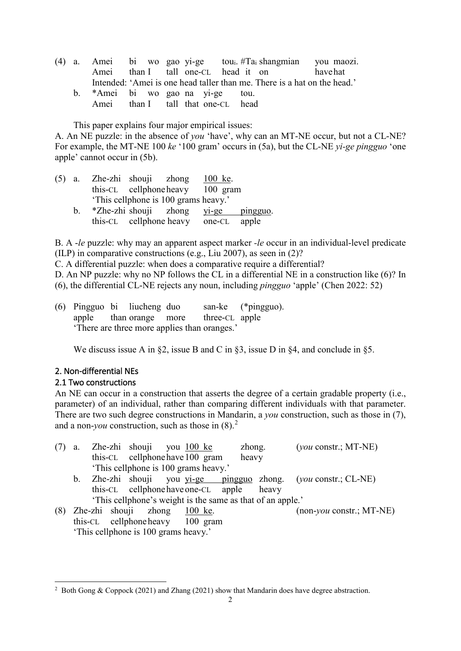- <span id="page-1-0"></span>(4) a. Amei bi wo gao yi-ge toui. #Tai shangmian you maozi. Amei than I tall one-CL head it on have hat Intended: 'Amei is one head taller than me. There is a hat on the head.'
	- b. \*Amei bi wo gao na yi-ge tou. Amei than I tall that one-CL head

This paper explains four major empirical issues:

A. An NE puzzle: in the absence of *you* 'have', why can an MT-NE occur, but not a CL-NE? For example, the MT-NE 100 *ke* '100 gram' occurs in [\(5a](#page-1-1)), but the CL-NE *yi-ge pingguo* 'one apple' cannot occur in [\(5b](#page-1-1)).

<span id="page-1-1"></span>

|                | $(5)$ a. Zhe-zhi shouji zhong $100$ ke. |                                      |  |  |
|----------------|-----------------------------------------|--------------------------------------|--|--|
|                |                                         | this-CL cellphone heavy 100 gram     |  |  |
|                |                                         | 'This cellphone is 100 grams heavy.' |  |  |
| $\mathbf{b}$ . |                                         | *Zhe-zhi shouji zhong yi-ge pingguo. |  |  |
|                |                                         | this-CL cellphone heavy one-CL apple |  |  |

B. A -*le* puzzle: why may an apparent aspect marker *-le* occur in an individual-level predicate (ILP) in comparative constructions (e.g., Liu 2007), as seen in [\(2\)](#page-0-1)?

C. A differential puzzle: when does a comparative require a differential?

D. An NP puzzle: why no NP follows the CL in a differential NE in a construction like [\(6\)](#page-1-2)? In [\(6\)](#page-1-2), the differential CL-NE rejects any noun, including *pingguo* 'apple' (Chen 2022: 52)

<span id="page-1-2"></span>(6) Pingguo bi liucheng duo san-ke (\*pingguo). apple than orange more three-CL apple 'There are three more applies than oranges.'

We discuss issue A in §2, issue B and C in §3, issue D in §4, and conclude in §5.

# <span id="page-1-6"></span>2. Non-differential NEs

# <span id="page-1-7"></span>2.1 Two constructions

An NE can occur in a construction that asserts the degree of a certain gradable property (i.e., parameter) of an individual, rather than comparing different individuals with that parameter. There are two such degree constructions in Mandarin, a *you* construction, such as those in [\(7\)](#page-1-3), and a non-*you* construction, such as those in [\(8\)](#page-1-4). [2](#page-1-5)

<span id="page-1-4"></span><span id="page-1-3"></span>

| a.      |  | Zhe-zhi shouji you 100 ke            |                                      |                                                            | zhong. | $(you \text{ constr.}; MT-NE)$                                              |
|---------|--|--------------------------------------|--------------------------------------|------------------------------------------------------------|--------|-----------------------------------------------------------------------------|
|         |  |                                      | this-CL cellphone have 100 gram      |                                                            | heavy  |                                                                             |
|         |  |                                      | 'This cellphone is 100 grams heavy.' |                                                            |        |                                                                             |
| $b_{1}$ |  |                                      |                                      |                                                            |        | Zhe-zhi shouji you <u>yi-ge pingguo</u> zhong. ( <i>you</i> constr.; CL-NE) |
|         |  |                                      | this-CL cellphone have one-CL apple  |                                                            | heavy  |                                                                             |
|         |  |                                      |                                      | 'This cellphone's weight is the same as that of an apple.' |        |                                                                             |
|         |  |                                      | Zhe-zhi shouji zhong 100 ke.         |                                                            |        | $(non$ -you constr.; MT-NE)                                                 |
|         |  |                                      | this-CL cellphone heavy 100 gram     |                                                            |        |                                                                             |
|         |  | 'This cellphone is 100 grams heavy.' |                                      |                                                            |        |                                                                             |

<span id="page-1-5"></span><sup>&</sup>lt;sup>2</sup> Both Gong & Coppock (2021) and Zhang (2021) show that Mandarin does have degree abstraction.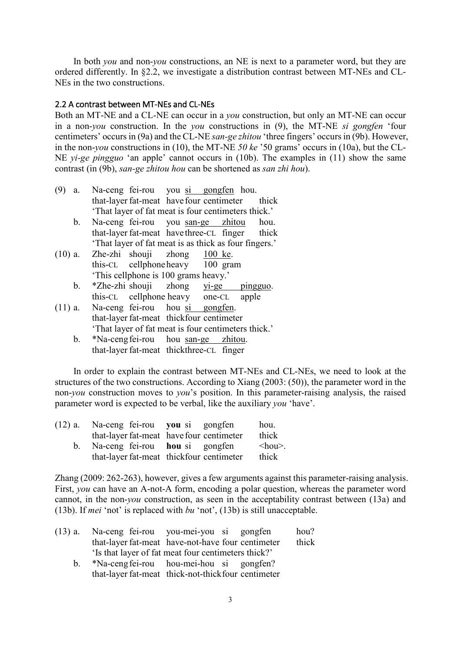In both *you* and non-*you* constructions, an NE is next to a parameter word, but they are ordered differently. In §2.2, we investigate a distribution contrast between MT-NEs and CL-NEs in the two constructions.

### <span id="page-2-4"></span>2.2 A contrast between MT-NEs and CL-NEs

Both an MT-NE and a CL-NE can occur in a *you* construction, but only an MT-NE can occur in a non-*you* construction. In the *you* constructions in [\(9\)](#page-2-0), the MT-NE *si gongfen* 'four centimeters' occurs in [\(9a](#page-2-0)) and the CL-NE *san-ge zhitou* 'three fingers' occurs in [\(9b](#page-2-0)). However, in the non-*you* constructions in [\(10\)](#page-2-1), the MT-NE *50 ke* '50 grams' occurs in [\(10a](#page-2-1)), but the CL-NE *yi-ge pingguo* 'an apple' cannot occurs in [\(10b](#page-2-1)). The examples in [\(11\)](#page-2-2) show the same contrast (in [\(9b](#page-2-0)), *san-ge zhitou hou* can be shortened as *san zhi hou*).

- <span id="page-2-0"></span>(9) a. Na-ceng fei-rou you si gongfen hou. that-layer fat-meat have four centimeter thick 'That layer of fat meat is four centimeters thick.'
	- b. Na-ceng fei-rou you san-ge zhitou hou. that-layer fat-meat have three-CL finger thick 'That layer of fat meat is as thick as four fingers.'
- <span id="page-2-1"></span>(10) a. Zhe-zhi shouji zhong 100 ke. this-CL cellphoneheavy 100 gram 'This cellphone is 100 grams heavy.'
	- b. \*Zhe-zhi shouji zhong yi-ge pingguo. this-CL cellphone heavy one-CL apple
- <span id="page-2-2"></span>(11) a. Na-ceng fei-rou hou si gongfen. that-layer fat-meat thickfour centimeter 'That layer of fat meat is four centimeters thick.'
	- b. \*Na-cengfei-rou hou san-ge zhitou. that-layer fat-meat thickthree-CL finger

In order to explain the contrast between MT-NEs and CL-NEs, we need to look at the structures of the two constructions. According to Xiang (2003: (50)), the parameter word in the non-*you* construction moves to *you*'s position. In this parameter-raising analysis, the raised parameter word is expected to be verbal, like the auxiliary *you* 'have'.

| (12) a. Na-ceng fei-rou you si gongfen |                                          | hou.                      |
|----------------------------------------|------------------------------------------|---------------------------|
|                                        | that-layer fat-meat have four centimeter | thick                     |
| b. Na-ceng fei-rou hou si gongfen      |                                          | $\langle$ hou $\rangle$ . |
|                                        | that-layer fat-meat thickfour centimeter | thick                     |

Zhang (2009: 262-263), however, gives a few arguments against this parameter-raising analysis. First, *you* can have an A-not-A form, encoding a polar question, whereas the parameter word cannot, in the non-*you* construction, as seen in the acceptability contrast between [\(13a](#page-2-3)) and [\(13b](#page-2-3)). If *mei* 'not' is replaced with *bu* 'not', [\(13b](#page-2-3)) is still unacceptable.

<span id="page-2-3"></span>

| (13) a. Na-ceng fei-rou you-mei-you si gongfen      |  | hou?  |
|-----------------------------------------------------|--|-------|
| that-layer fat-meat have-not-have four centimeter   |  | thick |
| 'Is that layer of fat meat four centimeters thick?' |  |       |

b. \*Na-cengfei-rou hou-mei-hou si gongfen? that-layer fat-meat thick-not-thickfour centimeter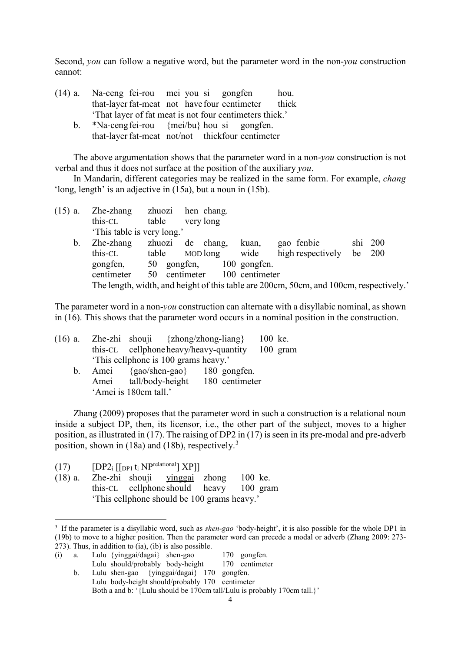Second, *you* can follow a negative word, but the parameter word in the non-*you* construction cannot:

- (14) a. Na-ceng fei-rou mei you si gongfen hou. that-layer fat-meat not have four centimeter thick 'That layer of fat meat is not four centimeters thick.'
	- b. \*Na-cengfei-rou {mei/bu} hou si gongfen. that-layer fat-meat not/not thickfour centimeter

The above argumentation shows that the parameter word in a non-*you* construction is not verbal and thus it does not surface at the position of the auxiliary *you*.

In Mandarin, different categories may be realized in the same form. For example, *chang* 'long, length' is an adjective in [\(15a](#page-3-0)), but a noun in [\(15b](#page-3-0)).

<span id="page-3-0"></span>

| $(15)$ a. | Zhe-zhang zhuozi hen chang. |             |                           |              |                                                                                       |            |
|-----------|-----------------------------|-------------|---------------------------|--------------|---------------------------------------------------------------------------------------|------------|
|           | this-CL                     | table       | very long                 |              |                                                                                       |            |
|           | 'This table is very long.'  |             |                           |              |                                                                                       |            |
| b.        | Zhe-zhang                   |             | zhuozi de chang,          | kuan,        | gao fenbie                                                                            | $\sin 200$ |
|           | this-CL                     | table       | MOD long                  | wide         | high respectively                                                                     | be $200$   |
|           | gongfen,                    | 50 gongfen, |                           | 100 gongfen. |                                                                                       |            |
|           | centimeter                  | 50          | centimeter 100 centimeter |              |                                                                                       |            |
|           |                             |             |                           |              | The length, width, and height of this table are 200cm, 50cm, and 100cm, respectively. |            |
|           |                             |             |                           |              |                                                                                       |            |

The parameter word in a non-*you* construction can alternate with a disyllabic nominal, as shown in [\(16\)](#page-3-1). This shows that the parameter word occurs in a nominal position in the construction.

<span id="page-3-1"></span>

| $(16)$ a.      |                       | Zhe-zhi shouji $\{zhong/zhong-liang\}$          |  | 100 ke. |  |
|----------------|-----------------------|-------------------------------------------------|--|---------|--|
|                |                       | this-CL cellphone heavy/heavy-quantity 100 gram |  |         |  |
|                |                       | 'This cellphone is 100 grams heavy.'            |  |         |  |
| $\mathbf{b}$ . |                       | Amei {gao/shen-gao} 180 gongfen.                |  |         |  |
|                |                       | Amei tall/body-height 180 centimeter            |  |         |  |
|                | 'Amei is 180cm tall.' |                                                 |  |         |  |

Zhang (2009) proposes that the parameter word in such a construction is a relational noun inside a subject DP, then, its licensor, i.e., the other part of the subject, moves to a higher position, as illustrated in [\(17\)](#page-3-2). The raising of DP2 in [\(17\)](#page-3-2) is seen in its pre-modal and pre-adverb position, shown in [\(18a](#page-3-3)) and [\(18b](#page-3-3)), respectively.[3](#page-3-4)

<span id="page-3-2"></span>(17)  $[DP2_i [[DP1 t_i NP<sup>relational</sup>] XPI]$ 

<span id="page-3-3"></span>(18) a. Zhe-zhi shouji yinggai zhong 100 ke. this-CL cellphone should heavy 100 gram 'This cellphone should be 100 grams heavy.'

(i) a. Lulu {yinggai/dagai} shen-gao 170 gongfen. Lulu should/probably body-height 170 centimeter b. Lulu shen-gao {yinggai/dagai} 170 gongfen.

<span id="page-3-4"></span> <sup>3</sup> If the parameter is a disyllabic word, such as *shen-gao* 'body-height', it is also possible for the whole DP1 in [\(19b](#page-4-0)) to move to a higher position. Then the parameter word can precede a modal or adverb (Zhang 2009: 273- 273). Thus, in addition to (ia), (ib) is also possible.

Lulu body-height should/probably 170 centimeter Both a and b: '{Lulu should be 170cm tall/Lulu is probably 170cm tall.}'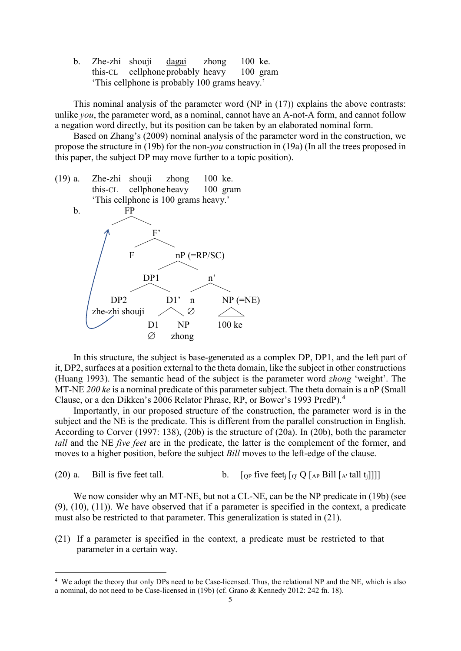b. Zhe-zhi shouji dagai zhong 100 ke. this-CL cellphoneprobably heavy 100 gram 'This cellphone is probably 100 grams heavy.'

This nominal analysis of the parameter word (NP in [\(17\)](#page-3-2)) explains the above contrasts: unlike *you*, the parameter word, as a nominal, cannot have an A-not-A form, and cannot follow a negation word directly, but its position can be taken by an elaborated nominal form.

Based on Zhang's (2009) nominal analysis of the parameter word in the construction, we propose the structure in [\(19b](#page-4-0)) for the non-*you* construction in [\(19a](#page-4-0)) (In all the trees proposed in this paper, the subject DP may move further to a topic position).

<span id="page-4-0"></span>

In this structure, the subject is base-generated as a complex DP, DP1, and the left part of it, DP2, surfaces at a position external to the theta domain, like the subject in other constructions (Huang 1993). The semantic head of the subject is the parameter word *zhong* 'weight'. The MT-NE *200 ke* is a nominal predicate of this parameter subject. The theta domain is a nP (Small Clause, or a den Dikken's 2006 Relator Phrase, RP, or Bower's 1993 PredP).[4](#page-4-3)

Importantly, in our proposed structure of the construction, the parameter word is in the subject and the NE is the predicate. This is different from the parallel construction in English. According to Corver (1997: 138), [\(20b](#page-4-1)) is the structure of [\(20a](#page-4-1)). In [\(20b](#page-4-1)), both the parameter *tall* and the NE *five feet* are in the predicate, the latter is the complement of the former, and moves to a higher position, before the subject *Bill* moves to the left-edge of the clause.

<span id="page-4-1"></span>(20) a. Bill is five feet tall. b.  $\int_{\Omega}$  five feet<sub>i</sub>  $\int_{\Omega'} Q \int_{AP}$  Bill  $\left[ \int_{A'} \text{tall } t_i \right]$ 

We now consider why an MT-NE, but not a CL-NE, can be the NP predicate in [\(19b](#page-4-0)) (see [\(9\)](#page-2-0), [\(10\)](#page-2-1), [\(11\)](#page-2-2)). We have observed that if a parameter is specified in the context, a predicate must also be restricted to that parameter. This generalization is stated in [\(21\)](#page-4-2).

<span id="page-4-2"></span>(21) If a parameter is specified in the context, a predicate must be restricted to that parameter in a certain way.

<span id="page-4-3"></span> <sup>4</sup> We adopt the theory that only DPs need to be Case-licensed. Thus, the relational NP and the NE, which is also a nominal, do not need to be Case-licensed in [\(19b](#page-4-0)) (cf. Grano & Kennedy 2012: 242 fn. 18).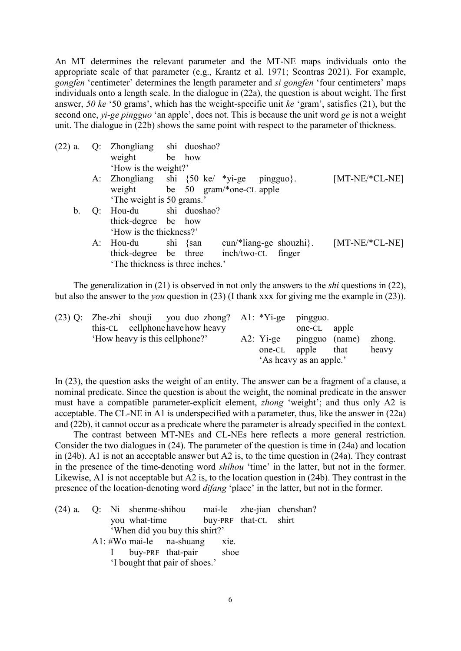An MT determines the relevant parameter and the MT-NE maps individuals onto the appropriate scale of that parameter (e.g., Krantz et al. 1971; Scontras 2021). For example, *gongfen* 'centimeter' determines the length parameter and *si gongfen* 'four centimeters' maps individuals onto a length scale. In the dialogue in [\(22a](#page-5-0)), the question is about weight. The first answer, *50 ke* '50 grams', which has the weight-specific unit *ke* 'gram', satisfies [\(21\)](#page-4-2), but the second one, *yi-ge pingguo* 'an apple', does not. This is because the unit word *ge* is not a weight unit. The dialogue in [\(22b](#page-5-0)) shows the same point with respect to the parameter of thickness.

<span id="page-5-0"></span>

| $(22)$ a. | Q: Zhongliang shi duoshao?                 |          |                                   |  |                  |
|-----------|--------------------------------------------|----------|-----------------------------------|--|------------------|
|           | weight be how                              |          |                                   |  |                  |
|           | 'How is the weight?'                       |          |                                   |  |                  |
|           | A: Zhongliang shi {50 ke/ *yi-ge pingguo}. |          |                                   |  | $[MT-NE/*CL-NE]$ |
|           | weight be 50 gram/*one-CL apple            |          |                                   |  |                  |
|           | 'The weight is 50 grams.'                  |          |                                   |  |                  |
| $b_{1}$   | Q: Hou-du shi duoshao?                     |          |                                   |  |                  |
|           | thick-degree be how                        |          |                                   |  |                  |
|           | 'How is the thickness?'                    |          |                                   |  |                  |
|           | A: Hou-du                                  | shi {san | $\text{cun}$ /*liang-ge shouzhi}. |  | $[MT-NE/*CL-NE]$ |
|           | thick-degree be three                      |          | inch/two-CL finger                |  |                  |
|           | 'The thickness is three inches.'           |          |                                   |  |                  |
|           |                                            |          |                                   |  |                  |

The generalization in [\(21\)](#page-4-2) is observed in not only the answers to the *shi* questions in [\(22\)](#page-5-0), but also the answer to the *you* question in [\(23\)](#page-5-1) (I thank xxx for giving me the example in [\(23\)](#page-5-1)).

<span id="page-5-1"></span>

|  | $(23)$ Q: Zhe-zhi shouji you duo zhong? A1: *Yi-ge pingguo. |  |                                          |       |
|--|-------------------------------------------------------------|--|------------------------------------------|-------|
|  | this-CL cellphone have how heavy                            |  | one-CL apple                             |       |
|  | 'How heavy is this cellphone?'                              |  | A2: Yi-ge    pingguo    (name)    zhong. |       |
|  |                                                             |  | one-CL apple that                        | heavy |
|  |                                                             |  | 'As heavy as an apple.'                  |       |

In [\(23\)](#page-5-1), the question asks the weight of an entity. The answer can be a fragment of a clause, a nominal predicate. Since the question is about the weight, the nominal predicate in the answer must have a compatible parameter-explicit element, *zhong* 'weight'; and thus only A2 is acceptable. The CL-NE in A1 is underspecified with a parameter, thus, like the answer in [\(22a](#page-5-0)) and [\(22b](#page-5-0)), it cannot occur as a predicate where the parameter is already specified in the context.

The contrast between MT-NEs and CL-NEs here reflects a more general restriction. Consider the two dialogues in [\(24\)](#page-5-2). The parameter of the question is time in [\(24a](#page-5-2)) and location in [\(24b](#page-5-2)). A1 is not an acceptable answer but A2 is, to the time question in [\(24a](#page-5-2)). They contrast in the presence of the time-denoting word *shihou* 'time' in the latter, but not in the former. Likewise, A1 is not acceptable but A2 is, to the location question in [\(24b](#page-5-2)). They contrast in the presence of the location-denoting word *difang* 'place' in the latter, but not in the former.

<span id="page-5-2"></span>

|  |                                 |                                     |  | (24) a. Q: Ni shenme-shihou mai-le zhe-jian chenshan? |
|--|---------------------------------|-------------------------------------|--|-------------------------------------------------------|
|  |                                 | you what-time buy-PRF that-CL shirt |  |                                                       |
|  |                                 | 'When did you buy this shirt?'      |  |                                                       |
|  | $A1:$ #Wo mai-le na-shuang xie. |                                     |  |                                                       |
|  |                                 | I buy-PRF that-pair shoe            |  |                                                       |
|  |                                 | 'I bought that pair of shoes.'      |  |                                                       |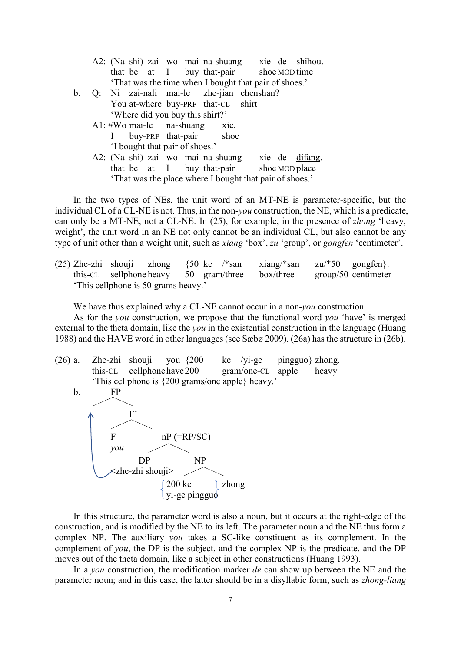|                |  |  |                                | A2: (Na shi) zai wo mai na-shuang xie de shihou.        |  |                |
|----------------|--|--|--------------------------------|---------------------------------------------------------|--|----------------|
|                |  |  |                                | that be at I buy that-pair shoe MOD time                |  |                |
|                |  |  |                                | 'That was the time when I bought that pair of shoes.'   |  |                |
| $\mathbf{b}$ . |  |  |                                | Q: Ni zai-nali mai-le zhe-jian chenshan?                |  |                |
|                |  |  |                                | You at-where buy-PRF that-CL shirt                      |  |                |
|                |  |  |                                | 'Where did you buy this shirt?'                         |  |                |
|                |  |  |                                | $A1:$ #Wo mai-le na-shuang xie.                         |  |                |
|                |  |  |                                | I buy-PRF that-pair shoe                                |  |                |
|                |  |  | 'I bought that pair of shoes.' |                                                         |  |                |
|                |  |  |                                | A2: (Na shi) zai wo mai na-shuang                       |  | xie de difang. |
|                |  |  |                                | that be at I buy that-pair shoe MOD place               |  |                |
|                |  |  |                                | 'That was the place where I bought that pair of shoes.' |  |                |

In the two types of NEs, the unit word of an MT-NE is parameter-specific, but the individual CL of a CL-NE is not. Thus, in the non-*you* construction, the NE, which is a predicate, can only be a MT-NE, not a CL-NE. In [\(25\)](#page-6-0), for example, in the presence of *zhong* 'heavy, weight', the unit word in an NE not only cannot be an individual CL, but also cannot be any type of unit other than a weight unit, such as *xiang* 'box', *zu* 'group', or *gongfen* 'centimeter'.

<span id="page-6-0"></span>(25) Zhe-zhi shouji zhong  $\{50 \text{ ke }$  /\*san xiang/\*san zu/\*50 gongfen}. this-CL sellphone heavy 50 gram/three box/three group/50 centimeter 'This cellphone is 50 grams heavy.'

We have thus explained why a CL-NE cannot occur in a non-*you* construction.

As for the *you* construction, we propose that the functional word *you* 'have' is merged external to the theta domain, like the *you* in the existential construction in the language (Huang 1988) and the HAVE word in other languages (see Sæbø 2009). [\(26a](#page-6-1)) has the structure in [\(26b](#page-6-1)).

<span id="page-6-1"></span>

In this structure, the parameter word is also a noun, but it occurs at the right-edge of the construction, and is modified by the NE to its left. The parameter noun and the NE thus form a complex NP. The auxiliary *you* takes a SC-like constituent as its complement. In the complement of *you*, the DP is the subject, and the complex NP is the predicate, and the DP moves out of the theta domain, like a subject in other constructions (Huang 1993).

In a *you* construction, the modification marker *de* can show up between the NE and the parameter noun; and in this case, the latter should be in a disyllabic form, such as *zhong-liang*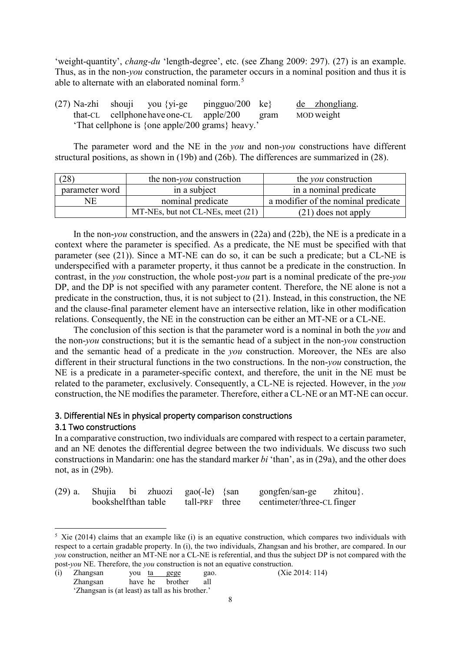'weight-quantity', *chang-du* 'length-degree', etc. (see Zhang 2009: 297). [\(27\)](#page-7-0) is an example. Thus, as in the non-*you* construction, the parameter occurs in a nominal position and thus it is able to alternate with an elaborated nominal form.<sup>[5](#page-7-3)</sup>

<span id="page-7-0"></span>(27) Na-zhi shouji you {yi-ge pingguo/200 ke} de zhongliang. that-CL cellphonehaveone-CL apple/200 gram MOD weight 'That cellphone is {one apple/200 grams} heavy.'

The parameter word and the NE in the *you* and non-*you* constructions have different structural positions, as shown in [\(19b](#page-4-0)) and [\(26b](#page-6-1)). The differences are summarized in [\(28\)](#page-7-1).

<span id="page-7-1"></span>

| 28             | the non- <i>you</i> construction  | the <i>you</i> construction         |  |  |  |
|----------------|-----------------------------------|-------------------------------------|--|--|--|
| parameter word | in a subject                      | in a nominal predicate              |  |  |  |
| NF.            | nominal predicate                 | a modifier of the nominal predicate |  |  |  |
|                | MT-NEs, but not CL-NEs, meet (21) | $(21)$ does not apply               |  |  |  |

In the non-*you* construction, and the answers in [\(22a](#page-5-0)) and [\(22b](#page-5-0)), the NE is a predicate in a context where the parameter is specified. As a predicate, the NE must be specified with that parameter (see [\(21\)](#page-4-2)). Since a MT-NE can do so, it can be such a predicate; but a CL-NE is underspecified with a parameter property, it thus cannot be a predicate in the construction. In contrast, in the *you* construction, the whole post-*you* part is a nominal predicate of the pre-*you* DP, and the DP is not specified with any parameter content. Therefore, the NE alone is not a predicate in the construction, thus, it is not subject to [\(21\)](#page-4-2). Instead, in this construction, the NE and the clause-final parameter element have an intersective relation, like in other modification relations. Consequently, the NE in the construction can be either an MT-NE or a CL-NE.

The conclusion of this section is that the parameter word is a nominal in both the *you* and the non-*you* constructions; but it is the semantic head of a subject in the non-*you* construction and the semantic head of a predicate in the *you* construction. Moreover, the NEs are also different in their structural functions in the two constructions. In the non-*you* construction, the NE is a predicate in a parameter-specific context, and therefore, the unit in the NE must be related to the parameter, exclusively. Consequently, a CL-NE is rejected. However, in the *you* construction, the NE modifies the parameter. Therefore, either a CL-NE or an MT-NE can occur.

## <span id="page-7-4"></span>3. Differential NEs in physical property comparison constructions

### <span id="page-7-5"></span>3.1 Two constructions

In a comparative construction, two individuals are compared with respect to a certain parameter, and an NE denotes the differential degree between the two individuals. We discuss two such constructions in Mandarin: one has the standard marker *bi* 'than', as in [\(29a](#page-7-2)), and the other does not, as in [\(29b](#page-7-2)).

<span id="page-7-2"></span>

|                     |  | $(29)$ a. Shujia bi zhuozi gao $(-1e)$ {san | gongfen/san-ge zhitou}.                   |  |
|---------------------|--|---------------------------------------------|-------------------------------------------|--|
| bookshelfthan table |  |                                             | tall-PRF three centimeter/three-CL finger |  |

<span id="page-7-3"></span> $5$  Xie (2014) claims that an example like (i) is an equative construction, which compares two individuals with respect to a certain gradable property. In (i), the two individuals, Zhangsan and his brother, are compared. In our *you* construction, neither an MT-NE nor a CL-NE is referential, and thus the subject DP is not compared with the post-*you* NE. Therefore, the *you* construction is not an equative construction.

<sup>(</sup>i) Zhangsan you ta gege gao. (Xie 2014: 114) Zhangsan have he brother all 'Zhangsan is (at least) as tall as his brother.'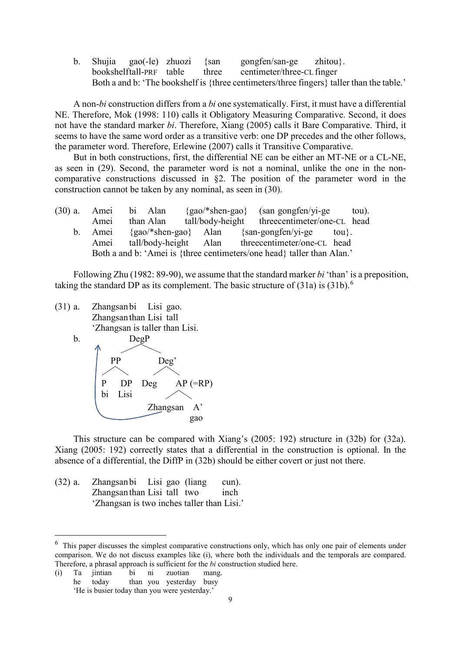b. Shujia gao(-le) zhuozi {san gongfen/san-ge zhitou}. bookshelftall-PRF table three centimeter/three-CL finger Both a and b: 'The bookshelf is {three centimeters/three fingers} taller than the table.'

A non-*bi* construction differs from a *bi* one systematically. First, it must have a differential NE. Therefore, Mok (1998: 110) calls it Obligatory Measuring Comparative. Second, it does not have the standard marker *bi*. Therefore, Xiang (2005) calls it Bare Comparative. Third, it seems to have the same word order as a transitive verb: one DP precedes and the other follows, the parameter word. Therefore, Erlewine (2007) calls it Transitive Comparative.

But in both constructions, first, the differential NE can be either an MT-NE or a CL-NE, as seen in [\(29\)](#page-7-2). Second, the parameter word is not a nominal, unlike the one in the noncomparative constructions discussed in §2. The position of the parameter word in the construction cannot be taken by any nominal, as seen in [\(30\)](#page-8-0).

<span id="page-8-0"></span>

|         | (30) a. Amei bi Alan |  | $\{gao/*shen-gao\}$ (san gongfen/yi-ge                                 | tou). |
|---------|----------------------|--|------------------------------------------------------------------------|-------|
| Amei    | than Alan            |  | tall/body-height threecentimeter/one-CL head                           |       |
| b. Amei |                      |  | $\{gao/*shen-gao\}$ Alan $\{san-gongfen/yi-ge \q tou\}.$               |       |
| Amei    |                      |  | tall/body-height Alan threecentimeter/one-CL head                      |       |
|         |                      |  | Both a and b: 'Amei is {three centimeters/one head} taller than Alan.' |       |

Following Zhu (1982: 89-90), we assume that the standard marker *bi* 'than' is a preposition, taking the standard DP as its complement. The basic structure of  $(31a)$  $(31a)$  is  $(31b)$  $(31b)$ .<sup>[6](#page-8-3)</sup>

- <span id="page-8-1"></span>(31) a. Zhangsanbi Lisi gao. Zhangsanthan Lisi tall 'Zhangsan is taller than Lisi.
	-



This structure can be compared with Xiang's (2005: 192) structure in [\(32b](#page-8-2)) for [\(32a](#page-8-2)). Xiang (2005: 192) correctly states that a differential in the construction is optional. In the absence of a differential, the DiffP in [\(32b](#page-8-2)) should be either covert or just not there.

<span id="page-8-2"></span>(32) a. Zhangsanbi Lisi gao (liang cun). Zhangsanthan Lisi tall two inch 'Zhangsan is two inches taller than Lisi.'

(i) Ta jintian bi ni zuotian mang. he today than you yesterday busy 'He is busier today than you were yesterday.'

<span id="page-8-3"></span> $6$  This paper discusses the simplest comparative constructions only, which has only one pair of elements under comparison. We do not discuss examples like (i), where both the individuals and the temporals are compared. Therefore, a phrasal approach is sufficient for the *bi* construction studied here.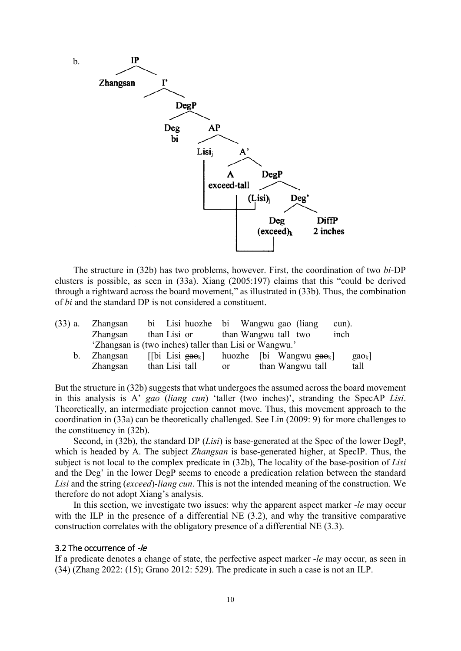

The structure in [\(32b](#page-8-2)) has two problems, however. First, the coordination of two *bi*-DP clusters is possible, as seen in [\(33a](#page-9-0)). Xiang (2005:197) claims that this "could be derived through a rightward across the board movement," as illustrated in [\(33b](#page-9-0)). Thus, the combination of *bi* and the standard DP is not considered a constituent.

<span id="page-9-0"></span>

| $(33)$ a.      | Zhangsan | bi Lisi huozhe bi Wangwu gao (liang                        |     |                                       |                  | cun). |                |
|----------------|----------|------------------------------------------------------------|-----|---------------------------------------|------------------|-------|----------------|
|                | Zhangsan | than Lisi or                                               |     | than Wangwu tall two                  |                  | inch  |                |
|                |          | 'Zhangsan is (two inches) taller than Lisi or Wangwu.'     |     |                                       |                  |       |                |
| $\mathbf{b}$ . | Zhangsan | $\lfloor \cdot \rfloor$ bi Lisi gao <sub>k</sub> $\lfloor$ |     | huozhe [bi Wangwu $_{\text{gao}_k}$ ] |                  |       | $\text{gao}_k$ |
|                | Zhangsan | than Lisi tall                                             | or. |                                       | than Wangwu tall |       | tall           |

But the structure in [\(32b](#page-8-2)) suggests that what undergoes the assumed across the board movement in this analysis is A' *gao* (*liang cun*) 'taller (two inches)', stranding the SpecAP *Lisi*. Theoretically, an intermediate projection cannot move. Thus, this movement approach to the coordination in [\(33a](#page-9-0)) can be theoretically challenged. See Lin (2009: 9) for more challenges to the constituency in [\(32b](#page-8-2)).

Second, in [\(32b](#page-8-2)), the standard DP (*Lisi*) is base-generated at the Spec of the lower DegP, which is headed by A. The subject *Zhangsan* is base-generated higher, at SpecIP. Thus, the subject is not local to the complex predicate in [\(32b](#page-8-2)), The locality of the base-position of *Lisi* and the Deg' in the lower DegP seems to encode a predication relation between the standard *Lisi* and the string (*exceed*)-*liang cun*. This is not the intended meaning of the construction. We therefore do not adopt Xiang's analysis.

In this section, we investigate two issues: why the apparent aspect marker -*le* may occur with the ILP in the presence of a differential NE (3.2), and why the transitive comparative construction correlates with the obligatory presence of a differential NE (3.3).

## <span id="page-9-1"></span>3.2 The occurrence of -/e

If a predicate denotes a change of state, the perfective aspect marker -*le* may occur, as seen in [\(34\)](#page-10-0) (Zhang 2022: (15); Grano 2012: 529). The predicate in such a case is not an ILP.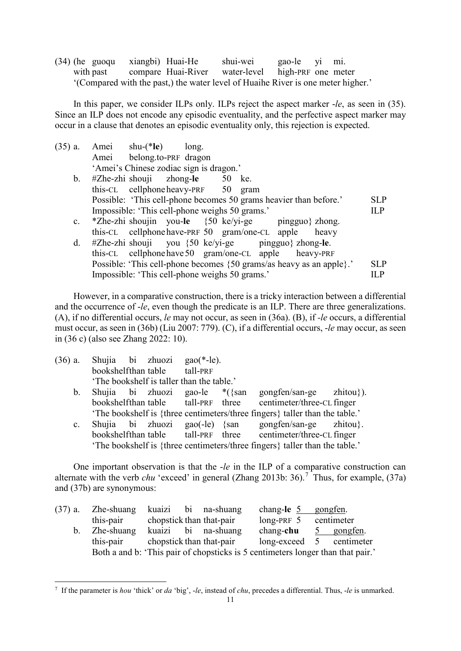<span id="page-10-0"></span>(34) (he guoqu xiangbi) Huai-He shui-wei gao-le yi mi. with past compare Huai-River water-level high-PRF one meter '(Compared with the past,) the water level of Huaihe River is one meter higher.'

In this paper, we consider ILPs only. ILPs reject the aspect marker -*le*, as seen in [\(35\)](#page-10-1). Since an ILP does not encode any episodic eventuality, and the perfective aspect marker may occur in a clause that denotes an episodic eventuality only, this rejection is expected.

<span id="page-10-1"></span>

| $(35)$ a.      | shu- $(*\mathbf{le})$ long.<br>Amei                                  |            |
|----------------|----------------------------------------------------------------------|------------|
|                | Amei belong.to-PRF dragon                                            |            |
|                | 'Amei's Chinese zodiac sign is dragon.'                              |            |
| $\mathbf{b}$ . | $#Z$ he-zhi shouji zhong-le 50 ke.                                   |            |
|                | this-CL cellphone heavy-PRF 50 gram                                  |            |
|                | Possible: 'This cell-phone becomes 50 grams heavier than before.'    | <b>SLP</b> |
|                | Impossible: 'This cell-phone weighs 50 grams.'                       | <b>ILP</b> |
|                | c. *Zhe-zhi shoujin you-le $\{50 \text{ ke/yi-ge}$ pingguo} zhong.   |            |
|                | this-CL cellphone have-PRF 50 gram/one-CL apple heavy                |            |
| d.             | $#Z$ he-zhi shouji you {50 ke/yi-ge pingguo} zhong-le.               |            |
|                | this-CL cellphone have 50 gram/one-CL apple heavy-PRF                |            |
|                | Possible: 'This cell-phone becomes {50 grams/as heavy as an apple}.' | <b>SLP</b> |
|                | Impossible: 'This cell-phone weighs 50 grams.'                       | ILP        |

However, in a comparative construction, there is a tricky interaction between a differential and the occurrence of -*le*, even though the predicate is an ILP. There are three generalizations. (A), if no differential occurs, *le* may not occur, as seen in [\(36a](#page-10-2)). (B), if *-le* occurs, a differential must occur, as seen in [\(36b](#page-10-2)) (Liu 2007: 779). (C), if a differential occurs, -*le* may occur, as seen in [\(36](#page-10-2) c) (also see Zhang 2022: 10).

<span id="page-10-2"></span>

| $(36)$ a.                                                                   | Shujia bi zhuozi                          |  | bookshelfthan table tall-PRF | $\text{gao}(*-{\text{le}}).$ |  |                                                                                 |  |  |  |  |  |
|-----------------------------------------------------------------------------|-------------------------------------------|--|------------------------------|------------------------------|--|---------------------------------------------------------------------------------|--|--|--|--|--|
|                                                                             |                                           |  |                              |                              |  |                                                                                 |  |  |  |  |  |
|                                                                             | 'The bookshelf is taller than the table.' |  |                              |                              |  |                                                                                 |  |  |  |  |  |
| $\mathbf{b}$ .                                                              |                                           |  |                              |                              |  | Shujia bi zhuozi gao-le $*(\text{san} \text{ gongfen/san-ge} \text{ zhitou})).$ |  |  |  |  |  |
|                                                                             |                                           |  |                              |                              |  | bookshelfthan table tall-PRF three centimeter/three-CL finger                   |  |  |  |  |  |
|                                                                             |                                           |  |                              |                              |  | 'The bookshelf is {three centimeters/three fingers} taller than the table.'     |  |  |  |  |  |
| $\mathbf{c}$ .                                                              |                                           |  |                              |                              |  | Shujia bi zhuozi gao(-le) {san gongfen/san-ge zhitou}.                          |  |  |  |  |  |
|                                                                             |                                           |  |                              |                              |  | bookshelfthan table tall-PRF three centimeter/three-CL finger                   |  |  |  |  |  |
| 'The bookshelf is {three centimeters/three fingers} taller than the table.' |                                           |  |                              |                              |  |                                                                                 |  |  |  |  |  |

One important observation is that the -*le* in the ILP of a comparative construction can alternate with the verb *chu* 'exceed' in general (Zhang 2013b: 36).<sup>[7](#page-10-4)</sup> Thus, for example, [\(37a](#page-10-3)) and [\(37b](#page-10-3)) are synonymous:

<span id="page-10-3"></span>

| $(37)$ a.      | Zhe-shuang                                                                      |                          | kuaizi bi na-shuang | chang-le $5$ gongfen.    |            |
|----------------|---------------------------------------------------------------------------------|--------------------------|---------------------|--------------------------|------------|
|                | this-pair                                                                       | chopstick than that-pair |                     | $long-PRF$ 5             | centimeter |
| $\mathbf{b}$ . | Zhe-shuang                                                                      |                          | kuaizi bi na-shuang | chang-chu                | 5 gongfen. |
|                | this-pair                                                                       | chopstick than that-pair |                     | long-exceed 5 centimeter |            |
|                | Both a and b: 'This pair of chopsticks is 5 centimeters longer than that pair.' |                          |                     |                          |            |

<span id="page-10-4"></span> <sup>7</sup> If the parameter is *hou* 'thick' or *da* 'big', -*le*, instead of *chu*, precedes a differential. Thus, -*le* is unmarked.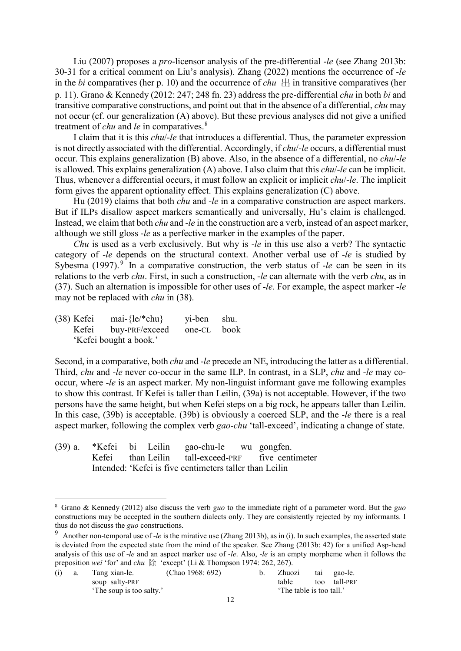Liu (2007) proposes a *pro*-licensor analysis of the pre-differential -*le* (see Zhang 2013b: 30-31 for a critical comment on Liu's analysis). Zhang (2022) mentions the occurrence of -*le* in the *bi* comparatives (her p. 10) and the occurrence of *chu*  $\pm$  in transitive comparatives (her p. 11). Grano & Kennedy (2012: 247; 248 fn. 23) address the pre-differential *chu* in both *bi* and transitive comparative constructions, and point out that in the absence of a differential, *chu* may not occur (cf. our generalization (A) above). But these previous analyses did not give a unified treatment of *chu* and *le* in comparatives. [8](#page-11-2)

I claim that it is this *chu*/-*le* that introduces a differential. Thus, the parameter expression is not directly associated with the differential. Accordingly, if *chu*/-*le* occurs, a differential must occur. This explains generalization (B) above. Also, in the absence of a differential, no *chu*/-*le* is allowed. This explains generalization (A) above. I also claim that this *chu*/-*le* can be implicit. Thus, whenever a differential occurs, it must follow an explicit or implicit *chu*/-*le*. The implicit form gives the apparent optionality effect. This explains generalization (C) above.

Hu (2019) claims that both *chu* and -*le* in a comparative construction are aspect markers. But if ILPs disallow aspect markers semantically and universally, Hu's claim is challenged. Instead, we claim that both *chu* and -*le* in the construction are a verb, instead of an aspect marker, although we still gloss -*le* as a perfective marker in the examples of the paper.

*Chu* is used as a verb exclusively. But why is -*le* in this use also a verb? The syntactic category of -*le* depends on the structural context. Another verbal use of -*le* is studied by Sybesma (1[9](#page-11-3)97).<sup>9</sup> In a comparative construction, the verb status of *-le* can be seen in its relations to the verb *chu*. First, in such a construction, -*le* can alternate with the verb *chu*, as in [\(37\)](#page-10-3). Such an alternation is impossible for other uses of -*le*. For example, the aspect marker -*le* may not be replaced with *chu* in [\(38\)](#page-11-0).

<span id="page-11-0"></span>(38) Kefei mai-{le/\*chu} yi-ben shu. Kefei buy-PRF/exceed one-CL book 'Kefei bought a book.'

Second, in a comparative, both *chu* and -*le* precede an NE, introducing the latter as a differential. Third, *chu* and -*le* never co-occur in the same ILP. In contrast, in a SLP, *chu* and -*le* may cooccur, where -*le* is an aspect marker. My non-linguist informant gave me following examples to show this contrast. If Kefei is taller than Leilin, [\(39a](#page-11-1)) is not acceptable. However, if the two persons have the same height, but when Kefei steps on a big rock, he appears taller than Leilin. In this case, [\(39b](#page-11-1)) is acceptable. [\(39b](#page-11-1)) is obviously a coerced SLP, and the -*le* there is a real aspect marker, following the complex verb *gao-chu* 'tall-exceed', indicating a change of state.

<span id="page-11-1"></span>

|  |  | (39) a. *Kefei bi Leilin gao-chu-le wu gongfen.         |                                                   |
|--|--|---------------------------------------------------------|---------------------------------------------------|
|  |  |                                                         | Kefei than Leilin tall-exceed-PRF five centimeter |
|  |  | Intended: 'Kefei is five centimeters taller than Leilin |                                                   |

<span id="page-11-2"></span> <sup>8</sup> Grano & Kennedy (2012) also discuss the verb *guo* to the immediate right of a parameter word. But the *guo* constructions may be accepted in the southern dialects only. They are consistently rejected by my informants. I thus do not discuss the *guo* constructions.

<span id="page-11-3"></span><sup>9</sup> Another non-temporal use of -*le* is the mirative use (Zhang 2013b), as in (i). In such examples, the asserted state is deviated from the expected state from the mind of the speaker. See Zhang (2013b: 42) for a unified Asp-head analysis of this use of -*le* and an aspect marker use of -*le*. Also, -*le* is an empty morpheme when it follows the preposition *wei* 'for' and *chu* 除 'except' (Li & Thompson 1974: 262, 267).

| (i) | a. | Tang xian-le.            | (Chao 1968: 692) |  | Zhuozi                   | tai gao-le.  |
|-----|----|--------------------------|------------------|--|--------------------------|--------------|
|     |    | soup salty-PRF           |                  |  | table                    | too tall-PRF |
|     |    | 'The soup is too salty.' |                  |  | 'The table is too tall.' |              |
|     |    |                          |                  |  |                          |              |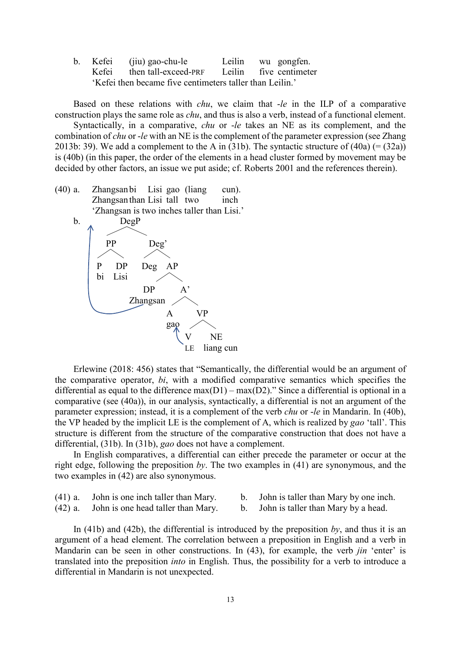b. Kefei (jiu) gao-chu-le Leilin wu gongfen. Kefei then tall-exceed-PRF Leilin five centimeter 'Kefei then became five centimeters taller than Leilin.'

Based on these relations with *chu*, we claim that -*le* in the ILP of a comparative construction plays the same role as *chu*, and thus is also a verb, instead of a functional element.

Syntactically, in a comparative, *chu* or -*le* takes an NE as its complement, and the combination of *chu* or -*le* with an NE is the complement of the parameter expression (see Zhang 2013b: 39). We add a complement to the A in [\(31b](#page-8-1)). The syntactic structure of  $(40a)$  $(40a)$  (=  $(32a)$  $(32a)$ ) is [\(40b](#page-12-0)) (in this paper, the order of the elements in a head cluster formed by movement may be decided by other factors, an issue we put aside; cf. Roberts 2001 and the references therein).

<span id="page-12-0"></span>(40) a. Zhangsanbi Lisi gao (liang cun). Zhangsanthan Lisi tall two inch 'Zhangsan is two inches taller than Lisi.'



Erlewine (2018: 456) states that "Semantically, the differential would be an argument of the comparative operator, *bi*, with a modified comparative semantics which specifies the differential as equal to the difference  $max(D1) - max(D2)$ ." Since a differential is optional in a comparative (see [\(40a](#page-12-0))), in our analysis, syntactically, a differential is not an argument of the parameter expression; instead, it is a complement of the verb *chu* or -*le* in Mandarin. In [\(40b](#page-12-0)), the VP headed by the implicit LE is the complement of A, which is realized by *gao* 'tall'. This structure is different from the structure of the comparative construction that does not have a differential, [\(31b](#page-8-1)). In [\(31b](#page-8-1)), *gao* does not have a complement.

In English comparatives, a differential can either precede the parameter or occur at the right edge, following the preposition *by*. The two examples in [\(41\)](#page-12-1) are synonymous, and the two examples in [\(42\)](#page-12-2) are also synonymous.

<span id="page-12-2"></span><span id="page-12-1"></span>(41) a. John is one inch taller than Mary. b. John is taller than Mary by one inch. (42) a. John is one head taller than Mary. b. John is taller than Mary by a head.

In [\(41b](#page-12-1)) and [\(42b](#page-12-2)), the differential is introduced by the preposition *by*, and thus it is an argument of a head element. The correlation between a preposition in English and a verb in Mandarin can be seen in other constructions. In [\(43\)](#page-13-0), for example, the verb *jin* 'enter' is translated into the preposition *into* in English. Thus, the possibility for a verb to introduce a differential in Mandarin is not unexpected.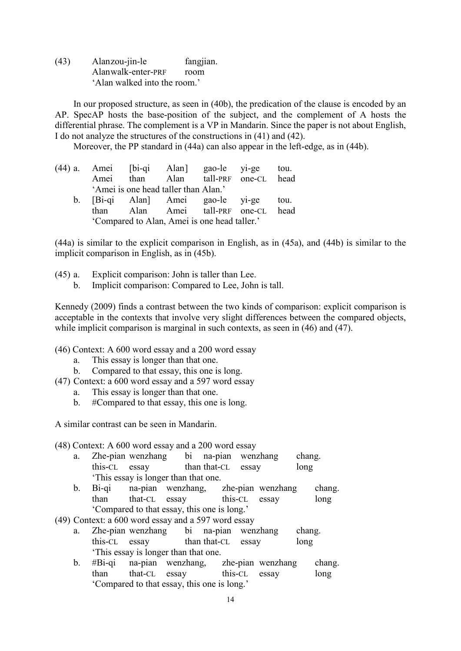<span id="page-13-0"></span>(43) Alanzou-jin-le fangjian. Alanwalk-enter-PRF room 'Alan walked into the room.'

In our proposed structure, as seen in [\(40b](#page-12-0)), the predication of the clause is encoded by an AP. SpecAP hosts the base-position of the subject, and the complement of A hosts the differential phrase. The complement is a VP in Mandarin. Since the paper is not about English, I do not analyze the structures of the constructions in [\(41\)](#page-12-1) and [\(42\)](#page-12-2).

Moreover, the PP standard in [\(44a](#page-13-1)) can also appear in the left-edge, as in [\(44b](#page-13-1)).

<span id="page-13-1"></span>

|  |                                              |  |  | (44) a. Amei [bi-qi Alan] gao-le yi-ge tou. |  |  |  |  |  |  |  |
|--|----------------------------------------------|--|--|---------------------------------------------|--|--|--|--|--|--|--|
|  |                                              |  |  | Amei than Alan tall-PRF one-CL head         |  |  |  |  |  |  |  |
|  | 'Amei is one head taller than Alan.'         |  |  |                                             |  |  |  |  |  |  |  |
|  |                                              |  |  | b. [Bi-qi Alan] Amei gao-le yi-ge tou.      |  |  |  |  |  |  |  |
|  |                                              |  |  | than Alan Amei tall-PRF one-CL head         |  |  |  |  |  |  |  |
|  | 'Compared to Alan, Amei is one head taller.' |  |  |                                             |  |  |  |  |  |  |  |

[\(44a](#page-13-1)) is similar to the explicit comparison in English, as in [\(45a](#page-13-2)), and [\(44b](#page-13-1)) is similar to the implicit comparison in English, as in [\(45b](#page-13-2)).

- <span id="page-13-2"></span>(45) a. Explicit comparison: John is taller than Lee.
	- b. Implicit comparison: Compared to Lee, John is tall.

Kennedy (2009) finds a contrast between the two kinds of comparison: explicit comparison is acceptable in the contexts that involve very slight differences between the compared objects, while implicit comparison is marginal in such contexts, as seen in  $(46)$  and  $(47)$ .

- <span id="page-13-3"></span>(46) Context: A 600 word essay and a 200 word essay
	- a. This essay is longer than that one.
	- b. Compared to that essay, this one is long.
- <span id="page-13-4"></span>(47) Context: a 600 word essay and a 597 word essay
	- a. This essay is longer than that one.
	- b. #Compared to that essay, this one is long.

A similar contrast can be seen in Mandarin.

(48) Context: A 600 word essay and a 200 word essay

- a. Zhe-pian wenzhang bi na-pian wenzhang chang. this-CL essay than that-CL essay long 'This essay is longer than that one.
- b. Bi-qi na-pian wenzhang, zhe-pian wenzhang chang. than that-CL essay this-CL essay long 'Compared to that essay, this one is long.'
- (49) Context: a 600 word essay and a 597 word essay
	- a. Zhe-pian wenzhang bi na-pian wenzhang chang. this-CL essay than that-CL essay long 'This essay is longer than that one.
	- b. #Bi-qi na-pian wenzhang, zhe-pian wenzhang chang. than that-CL essay this-CL essay long 'Compared to that essay, this one is long.'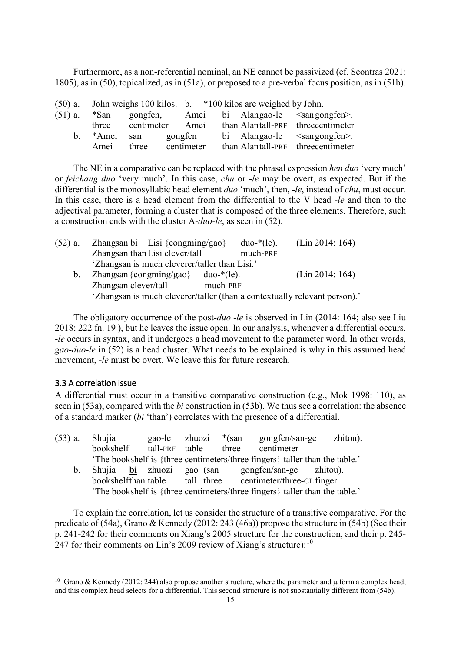Furthermore, as a non-referential nominal, an NE cannot be passivized (cf. Scontras 2021: 1805), as in [\(50\)](#page-14-0), topicalized, as in [\(51a](#page-14-1)), or preposed to a pre-verbal focus position, as in [\(51b](#page-14-1)).

<span id="page-14-1"></span><span id="page-14-0"></span>

|       |                      |            |  | $(50)$ a. John weighs 100 kilos. b. $*100$ kilos are weighed by John. |                                                                          |
|-------|----------------------|------------|--|-----------------------------------------------------------------------|--------------------------------------------------------------------------|
|       |                      |            |  |                                                                       | $(51)$ a. $*$ San gongfen, Amei bi Alangao-le <sangongfen>.</sangongfen> |
| three |                      |            |  |                                                                       | centimeter Amei than Alantall-PRF threecentimeter                        |
|       | b. *Amei san gongfen |            |  |                                                                       | bi Alangao-le $\leq$ sangongfen>.                                        |
| Amei  | three                | centimeter |  |                                                                       | than Alantall-PRF threecentimeter                                        |
|       |                      |            |  |                                                                       |                                                                          |

The NE in a comparative can be replaced with the phrasal expression *hen duo* 'very much' or *feichang duo* 'very much'. In this case, *chu* or -*le* may be overt, as expected. But if the differential is the monosyllabic head element *duo* 'much', then, -*le*, instead of *chu*, must occur. In this case, there is a head element from the differential to the V head -*le* and then to the adjectival parameter, forming a cluster that is composed of the three elements. Therefore, such a construction ends with the cluster A-*duo*-*le*, as seen in [\(52\)](#page-14-2).

<span id="page-14-2"></span>

| $(52)$ a.      | Zhangsan bi Lisi {congming/gao}                                           |               | $duo-*$ (le). | (Lin 2014: 164) |
|----------------|---------------------------------------------------------------------------|---------------|---------------|-----------------|
|                | Zhangsan than Lisi clever/tall                                            |               | much-PRF      |                 |
|                | 'Zhangsan is much cleverer/taller than Lisi.'                             |               |               |                 |
| $\mathbf{b}$ . | Zhangsan {congming/gao}                                                   | $duo-*$ (le). |               | (Lin 2014: 164) |
|                | Zhangsan clever/tall                                                      | much-PRF      |               |                 |
|                | 'Zhangsan is much cleverer/taller (than a contextually relevant person).' |               |               |                 |

The obligatory occurrence of the post-*duo* -*le* is observed in Lin (2014: 164; also see Liu 2018: 222 fn. 19 ), but he leaves the issue open. In our analysis, whenever a differential occurs, -*le* occurs in syntax, and it undergoes a head movement to the parameter word. In other words, *gao-duo-le* in [\(52\)](#page-14-2) is a head cluster. What needs to be explained is why in this assumed head movement, *-le* must be overt. We leave this for future research.

## <span id="page-14-5"></span>3.3 A correlation issue

A differential must occur in a transitive comparative construction (e.g., Mok 1998: 110), as seen in [\(53a](#page-14-3)), compared with the *bi* construction in [\(53b](#page-14-3)). We thus see a correlation: the absence of a standard marker (*bi* 'than') correlates with the presence of a differential.

<span id="page-14-3"></span>

| $(53)$ a.      | Shujia                         | gao-le zhuozi |                      | *(san | gongfen/san-ge                                                              | zhitou). |
|----------------|--------------------------------|---------------|----------------------|-------|-----------------------------------------------------------------------------|----------|
|                | bookshelf                      |               | tall-PRF table three |       | centimeter                                                                  |          |
|                |                                |               |                      |       | 'The bookshelf is {three centimeters/three fingers} taller than the table.' |          |
| $\mathbf{b}$ . |                                |               |                      |       | Shujia bi zhuozi gao (san gongfen/san-ge zhitou).                           |          |
|                | bookshelfthan table tall three |               |                      |       | centimeter/three-CL finger                                                  |          |
|                |                                |               |                      |       | 'The bookshelf is {three centimeters/three fingers} taller than the table.' |          |

To explain the correlation, let us consider the structure of a transitive comparative. For the predicate of [\(54a](#page-15-0)), Grano & Kennedy (2012: 243 (46a)) propose the structure in [\(54b](#page-15-0)) (See their p. 241-242 for their comments on Xiang's 2005 structure for the construction, and their p. 245- 247 for their comments on Lin's 2009 review of Xiang's structure):<sup>[10](#page-14-4)</sup>

<span id="page-14-4"></span><sup>&</sup>lt;sup>10</sup> Grano & Kennedy (2012: 244) also propose another structure, where the parameter and  $\mu$  form a complex head, and this complex head selects for a differential. This second structure is not substantially different from [\(54b](#page-15-0)).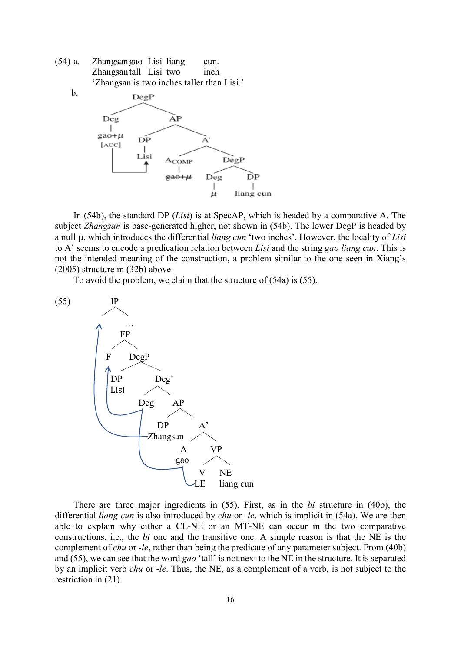<span id="page-15-0"></span>(54) a. Zhangsangao Lisi liang cun. Zhangsantall Lisi two inch 'Zhangsan is two inches taller than Lisi.'

b.



In [\(54b](#page-15-0)), the standard DP (*Lisi*) is at SpecAP, which is headed by a comparative A. The subject *Zhangsan* is base-generated higher, not shown in [\(54b](#page-15-0)). The lower DegP is headed by a null µ, which introduces the differential *liang cun* 'two inches'. However, the locality of *Lisi* to A' seems to encode a predication relation between *Lisi* and the string *gao liang cun*. This is not the intended meaning of the construction, a problem similar to the one seen in Xiang's (2005) structure in [\(32b](#page-8-2)) above.

To avoid the problem, we claim that the structure of [\(54a](#page-15-0)) is [\(55\)](#page-15-1).

<span id="page-15-1"></span>

There are three major ingredients in [\(55\)](#page-15-1). First, as in the *bi* structure in [\(40b](#page-12-0)), the differential *liang cun* is also introduced by *chu* or -*le*, which is implicit in [\(54a](#page-15-0)). We are then able to explain why either a CL-NE or an MT-NE can occur in the two comparative constructions, i.e., the *bi* one and the transitive one. A simple reason is that the NE is the complement of *chu* or -*le*, rather than being the predicate of any parameter subject. From [\(40b](#page-12-0)) and [\(55\)](#page-15-1), we can see that the word *gao* 'tall' is not next to the NE in the structure. It is separated by an implicit verb *chu* or -*le*. Thus, the NE, as a complement of a verb, is not subject to the restriction in [\(21\)](#page-4-2).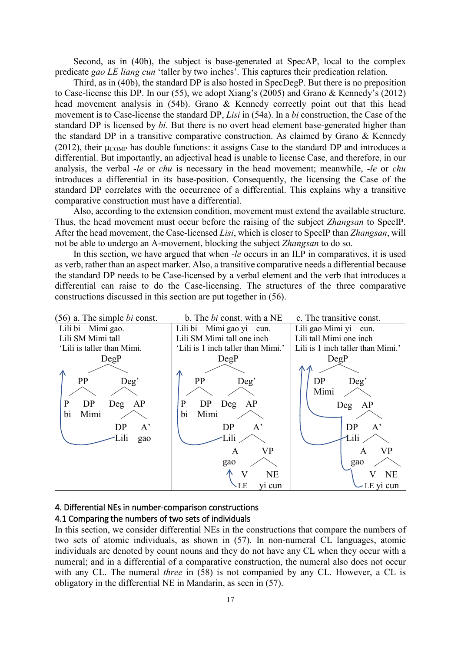Second, as in [\(40b](#page-12-0)), the subject is base-generated at SpecAP, local to the complex predicate *gao LE liang cun* 'taller by two inches'. This captures their predication relation.

Third, as in [\(40b](#page-12-0)), the standard DP is also hosted in SpecDegP. But there is no preposition to Case-license this DP. In our [\(55\)](#page-15-1), we adopt Xiang's (2005) and Grano & Kennedy's (2012) head movement analysis in [\(54b](#page-15-0)). Grano & Kennedy correctly point out that this head movement is to Case-license the standard DP, *Lisi* in [\(54a](#page-15-0)). In a *bi* construction, the Case of the standard DP is licensed by *bi*. But there is no overt head element base-generated higher than the standard DP in a transitive comparative construction. As claimed by Grano & Kennedy (2012), their  $\mu_{\text{COMP}}$  has double functions: it assigns Case to the standard DP and introduces a differential. But importantly, an adjectival head is unable to license Case, and therefore, in our analysis, the verbal -*le* or *chu* is necessary in the head movement; meanwhile, -*le* or *chu* introduces a differential in its base-position. Consequently, the licensing the Case of the standard DP correlates with the occurrence of a differential. This explains why a transitive comparative construction must have a differential.

Also, according to the extension condition, movement must extend the available structure. Thus, the head movement must occur before the raising of the subject *Zhangsan* to SpecIP. After the head movement, the Case-licensed *Lisi*, which is closer to SpecIP than *Zhangsan*, will not be able to undergo an A-movement, blocking the subject *Zhangsan* to do so.

In this section, we have argued that when -*le* occurs in an ILP in comparatives, it is used as verb, rather than an aspect marker. Also, a transitive comparative needs a differential because the standard DP needs to be Case-licensed by a verbal element and the verb that introduces a differential can raise to do the Case-licensing. The structures of the three comparative constructions discussed in this section are put together in [\(56\)](#page-16-0).

<span id="page-16-0"></span>

## <span id="page-16-1"></span>4. Differential NEs in number-comparison constructions

### <span id="page-16-2"></span>4.1 Comparing the numbers of two sets of individuals

In this section, we consider differential NEs in the constructions that compare the numbers of two sets of atomic individuals, as shown in [\(57\)](#page-17-0). In non-numeral CL languages, atomic individuals are denoted by count nouns and they do not have any CL when they occur with a numeral; and in a differential of a comparative construction, the numeral also does not occur with any CL. The numeral *three* in [\(58\)](#page-17-1) is not companied by any CL. However, a CL is obligatory in the differential NE in Mandarin, as seen in [\(57\)](#page-17-0).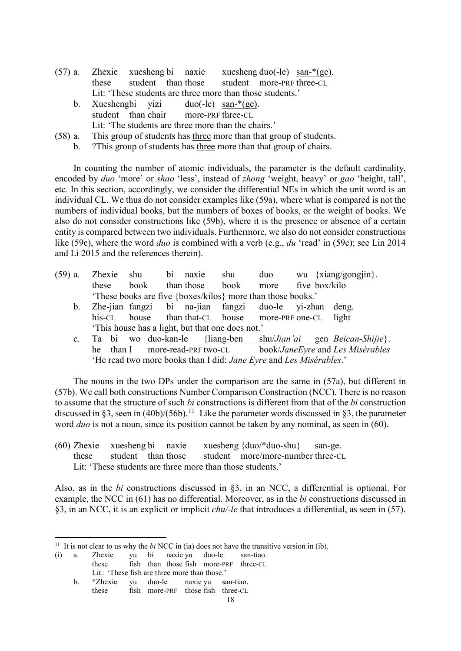- <span id="page-17-0"></span>(57) a. Zhexie xuesheng bi naxie xuesheng duo(-le) san-\*(ge). these student than those student more-PRF three-CL Lit: 'These students are three more than those students.'
	- b. Xueshengbi yizi duo(-le) san-\*(ge). student than chair more-PRF three-CL Lit: 'The students are three more than the chairs.'
- <span id="page-17-1"></span>(58) a. This group of students has three more than that group of students.
	- b. ?This group of students has three more than that group of chairs.

In counting the number of atomic individuals, the parameter is the default cardinality, encoded by *duo* 'more' or *shao* 'less', instead of *zhong* 'weight, heavy' or *gao* 'height, tall', etc. In this section, accordingly, we consider the differential NEs in which the unit word is an individual CL. We thus do not consider examples like [\(59a](#page-17-2)), where what is compared is not the numbers of individual books, but the numbers of boxes of books, or the weight of books. We also do not consider constructions like [\(59b](#page-17-2)), where it is the presence or absence of a certain entity is compared between two individuals. Furthermore, we also do not consider constructions like [\(59c](#page-17-2)), where the word *duo* is combined with a verb (e.g., *du* 'read' in [\(59c](#page-17-2)); see Lin 2014 and Li 2015 and the references therein).

- <span id="page-17-2"></span>(59) a. Zhexie shu bi naxie shu duo wu {xiang/gongjin}. these book than those book more five box/kilo 'These books are five {boxes/kilos} more than those books.'
	- b. Zhe-jian fangzi bi na-jian fangzi duo-le yi-zhan deng. his-CL house than that-CL house more-PRF one-CL light 'This house has a light, but that one does not.'
	- c. Ta bi wo duo-kan-le {liang-ben shu/*Jian'ai* gen *Beican-Shijie*}. he than I more-read-PRF two-CL book/*JaneEyre* and *Les Misérables* 'He read two more books than I did: *Jane Eyre* and *Les Misérables*.'

The nouns in the two DPs under the comparison are the same in [\(57a](#page-17-0)), but different in [\(57b](#page-17-0)). We call both constructions Number Comparison Construction (NCC). There is no reason to assume that the structure of such *bi* constructions is different from that of the *bi* construction discussed in §3, seen in [\(40b](#page-12-0))/[\(56b](#page-16-0)).<sup>[11](#page-17-4)</sup> Like the parameter words discussed in §3, the parameter word *duo* is not a noun, since its position cannot be taken by any nominal, as seen in [\(60\)](#page-17-3).

<span id="page-17-3"></span>(60) Zhexie xuesheng bi naxie xuesheng {duo/\*duo-shu} san-ge. these student than those student more/more-number three-CL Lit: 'These students are three more than those students.'

Also, as in the *bi* constructions discussed in §3, in an NCC, a differential is optional. For example, the NCC in [\(61\)](#page-18-0) has no differential. Moreover, as in the *bi* constructions discussed in §3, in an NCC, it is an explicit or implicit *chu/-le* that introduces a differential, as seen in [\(57\)](#page-17-0).

b. \*Zhexie yu duo-le naxie yu san-tiao. these fish more-PRF those fish three-CL

<span id="page-17-4"></span><sup>&</sup>lt;sup>11</sup> It is not clear to us why the  $bi$  NCC in (ia) does not have the transitive version in (ib).

<sup>(</sup>i) a. Zhexie yu bi naxie yu duo-le san-tiao. these fish than those fish more-PRF three-CL Lit.: 'These fish are three more than those.'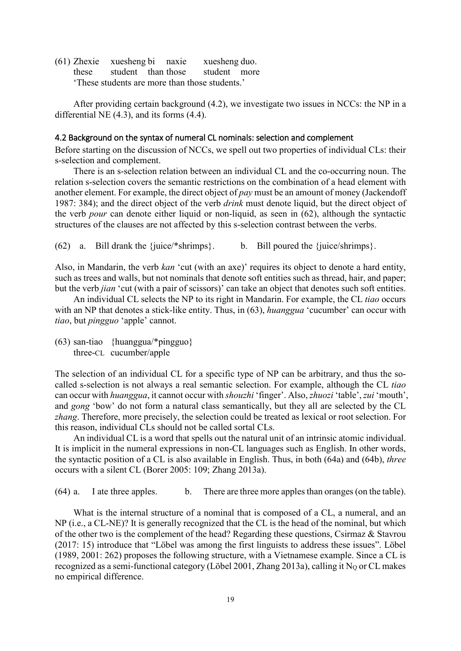<span id="page-18-0"></span>(61) Zhexie xuesheng bi naxie xuesheng duo. these student than those student more 'These students are more than those students.'

After providing certain background (4.2), we investigate two issues in NCCs: the NP in a differential NE (4.3), and its forms (4.4).

#### <span id="page-18-4"></span>4.2 Background on the syntax of numeral CL nominals: selection and complement

Before starting on the discussion of NCCs, we spell out two properties of individual CLs: their s-selection and complement.

There is an s-selection relation between an individual CL and the co-occurring noun. The relation s-selection covers the semantic restrictions on the combination of a head element with another element. For example, the direct object of *pay* must be an amount of money (Jackendoff 1987: 384); and the direct object of the verb *drink* must denote liquid, but the direct object of the verb *pour* can denote either liquid or non-liquid, as seen in [\(62\)](#page-18-1), although the syntactic structures of the clauses are not affected by this s-selection contrast between the verbs.

<span id="page-18-1"></span>(62) a. Bill drank the  $\{$ juice/\*shrimps $\}$ . b. Bill poured the  $\{$ juice/shrimps $\}$ .

Also, in Mandarin, the verb *kan* 'cut (with an axe)' requires its object to denote a hard entity, such as trees and walls, but not nominals that denote soft entities such as thread, hair, and paper; but the verb *jian* 'cut (with a pair of scissors)' can take an object that denotes such soft entities.

An individual CL selects the NP to its right in Mandarin. For example, the CL *tiao* occurs with an NP that denotes a stick-like entity. Thus, in [\(63\)](#page-18-2), *huanggua* 'cucumber' can occur with *tiao*, but *pingguo* 'apple' cannot.

<span id="page-18-2"></span>(63) san-tiao {huanggua/\*pingguo} three-CL cucumber/apple

The selection of an individual CL for a specific type of NP can be arbitrary, and thus the socalled s-selection is not always a real semantic selection. For example, although the CL *tiao* can occur with *huanggua*, it cannot occur with *shouzhi* 'finger'. Also,*zhuozi* 'table', *zui* 'mouth', and *gong* 'bow' do not form a natural class semantically, but they all are selected by the CL *zhang*. Therefore, more precisely, the selection could be treated as lexical or root selection. For this reason, individual CLs should not be called sortal CLs.

An individual CL is a word that spells out the natural unit of an intrinsic atomic individual. It is implicit in the numeral expressions in non-CL languages such as English. In other words, the syntactic position of a CL is also available in English. Thus, in both [\(64a](#page-18-3)) and [\(64b](#page-18-3)), *three* occurs with a silent CL (Borer 2005: 109; Zhang 2013a).

<span id="page-18-3"></span>(64) a. I ate three apples. b. There are three more apples than oranges (on the table).

What is the internal structure of a nominal that is composed of a CL, a numeral, and an NP (i.e., a CL-NE)? It is generally recognized that the CL is the head of the nominal, but which of the other two is the complement of the head? Regarding these questions, Csirmaz & Stavrou (2017: 15) introduce that "Löbel was among the first linguists to address these issues". Löbel (1989, 2001: 262) proposes the following structure, with a Vietnamese example. Since a CL is recognized as a semi-functional category (Löbel 2001, Zhang 2013a), calling it  $N<sub>Q</sub>$  or CL makes no empirical difference.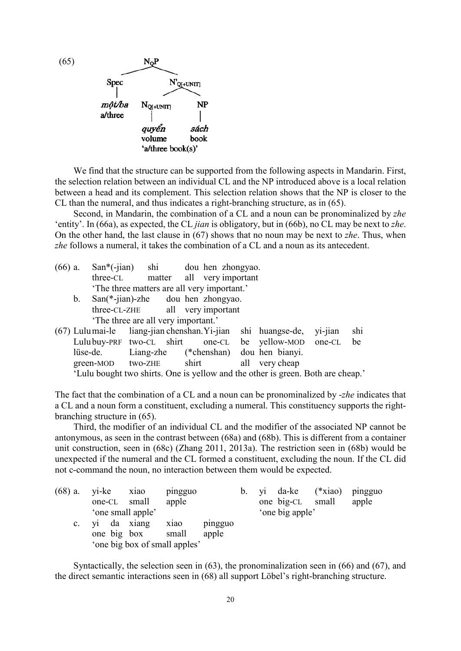<span id="page-19-0"></span>

We find that the structure can be supported from the following aspects in Mandarin. First, the selection relation between an individual CL and the NP introduced above is a local relation between a head and its complement. This selection relation shows that the NP is closer to the CL than the numeral, and thus indicates a right-branching structure, as in [\(65\)](#page-19-0).

Second, in Mandarin, the combination of a CL and a noun can be pronominalized by *zhe* 'entity'. In [\(66a](#page-19-1)), as expected, the CL *jian* is obligatory, but in [\(66b](#page-19-1)), no CL may be next to *zhe*. On the other hand, the last clause in [\(67\)](#page-19-2) shows that no noun may be next to *zhe*. Thus, when *zhe* follows a numeral, it takes the combination of a CL and a noun as its antecedent.

<span id="page-19-1"></span>

| $(66)$ a. |                | San <sup>*</sup> (-jian) shi dou hen zhongyao. |                           |       |  |                                       |         |     |
|-----------|----------------|------------------------------------------------|---------------------------|-------|--|---------------------------------------|---------|-----|
|           |                | three-CL                                       | matter all very important |       |  |                                       |         |     |
|           |                | 'The three matters are all very important.'    |                           |       |  |                                       |         |     |
|           | $\mathbf{b}$ . | $San(*-jian)-zhe$ dou hen zhongyao.            |                           |       |  |                                       |         |     |
|           |                | three-CL-ZHE all very important                |                           |       |  |                                       |         |     |
|           |                | 'The three are all very important.'            |                           |       |  |                                       |         |     |
|           |                | $(67)$ Lulumai-le liang-jian chenshan. Yi-jian |                           |       |  | shi huangse-de,                       | yi-jian | shi |
|           |                | Lulubuy-PRF two-CL shirt one-CL                |                           |       |  | be yellow-MOD one-CL                  |         | be  |
|           |                | lüse-de.                                       |                           |       |  | Liang-zhe (*chenshan) dou hen bianyi. |         |     |
|           |                | green-MOD two-ZHE                              |                           | shirt |  | all very cheap                        |         |     |

<span id="page-19-2"></span>'Lulu bought two shirts. One is yellow and the other is green. Both are cheap.'

The fact that the combination of a CL and a noun can be pronominalized by -*zhe* indicates that a CL and a noun form a constituent, excluding a numeral. This constituency supports the rightbranching structure in [\(65\)](#page-19-0).

Third, the modifier of an individual CL and the modifier of the associated NP cannot be antonymous, as seen in the contrast between [\(68a](#page-19-3)) and [\(68b](#page-19-3)). This is different from a container unit construction, seen in [\(68c](#page-19-3)) (Zhang 2011, 2013a). The restriction seen in [\(68b](#page-19-3)) would be unexpected if the numeral and the CL formed a constituent, excluding the noun. If the CL did not c-command the noun, no interaction between them would be expected.

<span id="page-19-3"></span>

| $(68)$ a. yi-ke |                            | X <sub>1</sub> ao | pingguo                       |                  | b. |                  | yi da-ke (*xiao) pingguo |
|-----------------|----------------------------|-------------------|-------------------------------|------------------|----|------------------|--------------------------|
|                 | one-CL small               |                   | apple                         |                  |    | one big-CL small | apple                    |
|                 | 'one small apple'          |                   |                               |                  |    | 'one big apple'  |                          |
| $c_{\cdot}$     | yi da xiang<br>one big box |                   | X <sub>1</sub> ao<br>small    | pingguo<br>apple |    |                  |                          |
|                 |                            |                   |                               |                  |    |                  |                          |
|                 |                            |                   | 'one big box of small apples' |                  |    |                  |                          |

Syntactically, the selection seen in [\(63\)](#page-18-2), the pronominalization seen in [\(66\)](#page-19-1) and [\(67\)](#page-19-2), and the direct semantic interactions seen in [\(68\)](#page-19-3) all support Löbel's right-branching structure.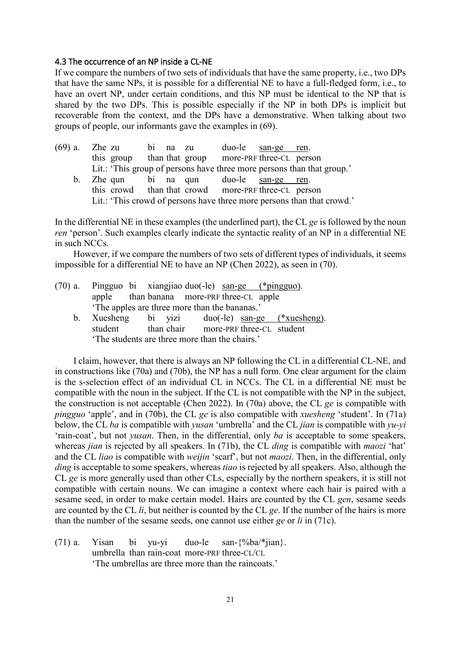### <span id="page-20-3"></span>4.3 The occurrence of an NP inside a CL-NE

If we compare the numbers of two sets of individuals that have the same property, i.e., two DPs that have the same NPs, it is possible for a differential NE to have a full-fledged form, i.e., to have an overt NP, under certain conditions, and this NP must be identical to the NP that is shared by the two DPs. This is possible especially if the NP in both DPs is implicit but recoverable from the context, and the DPs have a demonstrative. When talking about two groups of people, our informants gave the examples in [\(69\)](#page-20-0).

<span id="page-20-0"></span>

| $(69)$ a. Zhe zu |                                                     | bi na zu | duo-le san-ge ren. |                                                                        |
|------------------|-----------------------------------------------------|----------|--------------------|------------------------------------------------------------------------|
|                  | this group than that group more-PRF three-CL person |          |                    |                                                                        |
|                  |                                                     |          |                    | Lit.: 'This group of persons have three more persons than that group.' |
|                  | b. Zhe qun bi na qun duo-le san-ge ren.             |          |                    |                                                                        |
|                  | this crowd than that crowd more-PRF three-CL person |          |                    |                                                                        |
|                  |                                                     |          |                    | Lit.: 'This crowd of persons have three more persons than that crowd.' |

In the differential NE in these examples (the underlined part), the CL *ge* is followed by the noun *ren* 'person'. Such examples clearly indicate the syntactic reality of an NP in a differential NE in such NCCs.

However, if we compare the numbers of two sets of different types of individuals, it seems impossible for a differential NE to have an NP (Chen 2022), as seen in [\(70\)](#page-20-1).

<span id="page-20-1"></span>

| $(70)$ a. Pingguo bi xiangjiao duo(-le) san-ge (*pingguo). |  |  |  |                                                  |  |
|------------------------------------------------------------|--|--|--|--------------------------------------------------|--|
| apple than banana more-PRF three-CL apple                  |  |  |  |                                                  |  |
| 'The apples are three more than the bananas.'              |  |  |  |                                                  |  |
|                                                            |  |  |  | b. Xuesheng bi yizi duo(-le) san-ge (*xuesheng). |  |
| student than chair more-PRF three-CL student               |  |  |  |                                                  |  |
| 'The students are three more than the chairs.'             |  |  |  |                                                  |  |

I claim, however, that there is always an NP following the CL in a differential CL-NE, and in constructions like [\(70a](#page-20-1)) and [\(70b](#page-20-1)), the NP has a null form. One clear argument for the claim is the s-selection effect of an individual CL in NCCs. The CL in a differential NE must be compatible with the noun in the subject. If the CL is not compatible with the NP in the subject, the construction is not acceptable (Chen 2022). In [\(70a](#page-20-1)) above, the CL *ge* is compatible with *pingguo* 'apple', and in [\(70b](#page-20-1)), the CL *ge* is also compatible with *xuesheng* 'student'. In [\(71a](#page-20-2)) below, the CL *ba* is compatible with *yusan* 'umbrella' and the CL *jian* is compatible with *yu-yi* 'rain-coat', but not *yusan*. Then, in the differential, only *ba* is acceptable to some speakers, whereas *jian* is rejected by all speakers. In [\(71b](#page-20-2)), the CL *ding* is compatible with *maozi* 'hat' and the CL *liao* is compatible with *weijin* 'scarf', but not *maozi*. Then, in the differential, only *ding* is acceptable to some speakers, whereas *tiao* is rejected by all speakers. Also, although the CL *ge* is more generally used than other CLs, especially by the northern speakers, it is still not compatible with certain nouns. We can imagine a context where each hair is paired with a sesame seed, in order to make certain model. Hairs are counted by the CL *gen*, sesame seeds are counted by the CL *li*, but neither is counted by the CL *ge*. If the number of the hairs is more than the number of the sesame seeds, one cannot use either *ge* or *li* in [\(71c](#page-20-2)).

<span id="page-20-2"></span>(71) a. Yisan bi yu-yi duo-le san-{%ba/\*jian}. umbrella than rain-coat more-PRF three-CL/CL 'The umbrellas are three more than the raincoats.'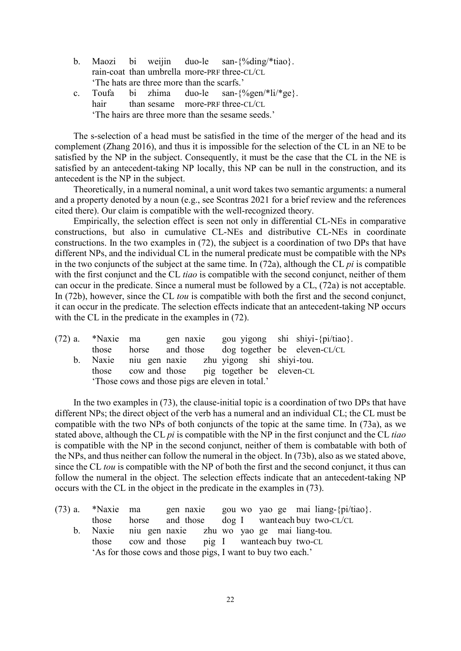- b. Maozi bi weijin duo-le san-{%ding/\*tiao}. rain-coat than umbrella more-PRF three-CL/CL 'The hats are three more than the scarfs.'
- c. Toufa bi zhima duo-le san-{%gen/\*li/\*ge}. hair than sesame more-PRF three-CL/CL 'The hairs are three more than the sesame seeds.'

The s-selection of a head must be satisfied in the time of the merger of the head and its complement (Zhang 2016), and thus it is impossible for the selection of the CL in an NE to be satisfied by the NP in the subject. Consequently, it must be the case that the CL in the NE is satisfied by an antecedent-taking NP locally, this NP can be null in the construction, and its antecedent is the NP in the subject.

Theoretically, in a numeral nominal, a unit word takes two semantic arguments: a numeral and a property denoted by a noun (e.g., see Scontras 2021 for a brief review and the references cited there). Our claim is compatible with the well-recognized theory.

Empirically, the selection effect is seen not only in differential CL-NEs in comparative constructions, but also in cumulative CL-NEs and distributive CL-NEs in coordinate constructions. In the two examples in [\(72\)](#page-21-0), the subject is a coordination of two DPs that have different NPs, and the individual CL in the numeral predicate must be compatible with the NPs in the two conjuncts of the subject at the same time. In [\(72a](#page-21-0)), although the CL *pi* is compatible with the first conjunct and the CL *tiao* is compatible with the second conjunct, neither of them can occur in the predicate. Since a numeral must be followed by a CL, [\(72a](#page-21-0)) is not acceptable. In [\(72b](#page-21-0)), however, since the CL *tou* is compatible with both the first and the second conjunct, it can occur in the predicate. The selection effects indicate that an antecedent-taking NP occurs with the CL in the predicate in the examples in  $(72)$ .

<span id="page-21-0"></span>

| $(72)$ a. *Naxie ma |                                                  |  |  | gen naxie gou yigong shi shiyi-{pi/tiao}.    |
|---------------------|--------------------------------------------------|--|--|----------------------------------------------|
| those               |                                                  |  |  | horse and those dog together be eleven-CL/CL |
|                     | b. Naxie niu gen naxie zhu yigong shi shiyi-tou. |  |  |                                              |
|                     | those cow and those pig together be eleven-CL    |  |  |                                              |
|                     | 'Those cows and those pigs are eleven in total.' |  |  |                                              |

In the two examples in [\(73\)](#page-21-1), the clause-initial topic is a coordination of two DPs that have different NPs; the direct object of the verb has a numeral and an individual CL; the CL must be compatible with the two NPs of both conjuncts of the topic at the same time. In [\(73a](#page-21-1)), as we stated above, although the CL *pi* is compatible with the NP in the first conjunct and the CL *tiao* is compatible with the NP in the second conjunct, neither of them is combatable with both of the NPs, and thus neither can follow the numeral in the object. In [\(73b](#page-21-1)), also as we stated above, since the CL *tou* is compatible with the NP of both the first and the second conjunct, it thus can follow the numeral in the object. The selection effects indicate that an antecedent-taking NP occurs with the CL in the object in the predicate in the examples in [\(73\)](#page-21-1).

<span id="page-21-1"></span>

| $(73)$ a. *Naxie ma |                                                             |  |  | gen naxie gou wo yao ge mai liang-{pi/tiao}. |
|---------------------|-------------------------------------------------------------|--|--|----------------------------------------------|
|                     | those horse and those dog I wanteach buy two-CL/CL          |  |  |                                              |
|                     | b. Naxie niu gen naxie zhu wo yao ge mai liang-tou.         |  |  |                                              |
|                     | those cow and those pig I wanteach buy two-CL               |  |  |                                              |
|                     | 'As for those cows and those pigs, I want to buy two each.' |  |  |                                              |
|                     |                                                             |  |  |                                              |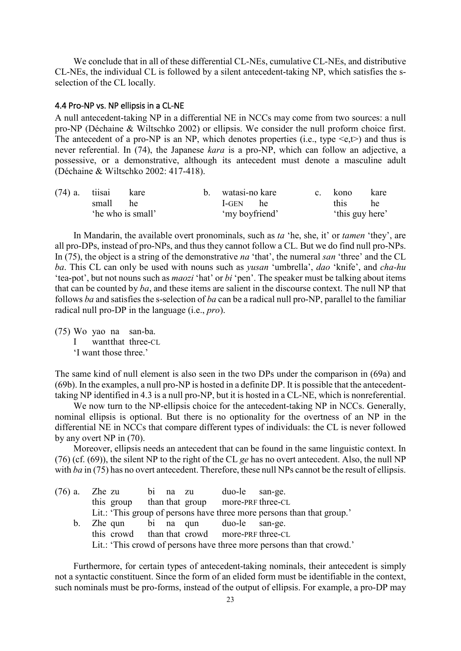We conclude that in all of these differential CL-NEs, cumulative CL-NEs, and distributive CL-NEs, the individual CL is followed by a silent antecedent-taking NP, which satisfies the sselection of the CL locally.

#### <span id="page-22-3"></span>4.4 Pro-NP vs. NP ellipsis in a CL-NE

A null antecedent-taking NP in a differential NE in NCCs may come from two sources: a null pro-NP (Déchaine & Wiltschko 2002) or ellipsis. We consider the null proform choice first. The antecedent of a pro-NP is an NP, which denotes properties (i.e., type  $\leq e, t$ ) and thus is never referential. In [\(74\)](#page-22-0), the Japanese *kara* is a pro-NP, which can follow an adjective, a possessive, or a demonstrative, although its antecedent must denote a masculine adult (Déchaine & Wiltschko 2002: 417-418).

<span id="page-22-0"></span>

| $(74)$ a. tiisai kare |                   | b. watasi-no kare | c. kono | kare            |
|-----------------------|-------------------|-------------------|---------|-----------------|
| small he              |                   | I-GEN he          | this he |                 |
|                       | 'he who is small' | 'my boyfriend'    |         | 'this guy here' |

In Mandarin, the available overt pronominals, such as *ta* 'he, she, it' or *tamen* 'they', are all pro-DPs, instead of pro-NPs, and thus they cannot follow a CL. But we do find null pro-NPs. In [\(75\)](#page-22-1), the object is a string of the demonstrative *na* 'that', the numeral *san* 'three' and the CL *ba*. This CL can only be used with nouns such as *yusan* 'umbrella', *dao* 'knife', and *cha-hu* 'tea-pot', but not nouns such as *maozi* 'hat' or *bi* 'pen'. The speaker must be talking about items that can be counted by *ba*, and these items are salient in the discourse context. The null NP that follows *ba* and satisfies the s-selection of *ba* can be a radical null pro-NP, parallel to the familiar radical null pro-DP in the language (i.e., *pro*).

<span id="page-22-1"></span>(75) Wo yao na san-ba. I wantthat three-CL 'I want those three.'

The same kind of null element is also seen in the two DPs under the comparison in [\(69a](#page-20-0)) and [\(69b](#page-20-0)). In the examples, a null pro-NP is hosted in a definite DP. It is possible that the antecedenttaking NP identified in 4.3 is a null pro-NP, but it is hosted in a CL-NE, which is nonreferential.

We now turn to the NP-ellipsis choice for the antecedent-taking NP in NCCs. Generally, nominal ellipsis is optional. But there is no optionality for the overtness of an NP in the differential NE in NCCs that compare different types of individuals: the CL is never followed by any overt NP in [\(70\)](#page-20-1).

Moreover, ellipsis needs an antecedent that can be found in the same linguistic context. In [\(76\)](#page-22-2) (cf. [\(69\)](#page-20-0)), the silent NP to the right of the CL *ge* has no overt antecedent. Also, the null NP with *ba* in [\(75\)](#page-22-1) has no overt antecedent. Therefore, these null NPs cannot be the result of ellipsis.

<span id="page-22-2"></span>

| (76) a. Zhe zu bi na zu duo-le san-ge.       |  |                                                                        |
|----------------------------------------------|--|------------------------------------------------------------------------|
| this group than that group more-PRF three-CL |  |                                                                        |
|                                              |  | Lit.: 'This group of persons have three more persons than that group.' |
| b. Zhe qun bi na qun duo-le san-ge.          |  |                                                                        |
| this crowd than that crowd more-PRF three-CL |  |                                                                        |
|                                              |  | Lit.: 'This crowd of persons have three more persons than that crowd.' |

Furthermore, for certain types of antecedent-taking nominals, their antecedent is simply not a syntactic constituent. Since the form of an elided form must be identifiable in the context, such nominals must be pro-forms, instead of the output of ellipsis. For example, a pro-DP may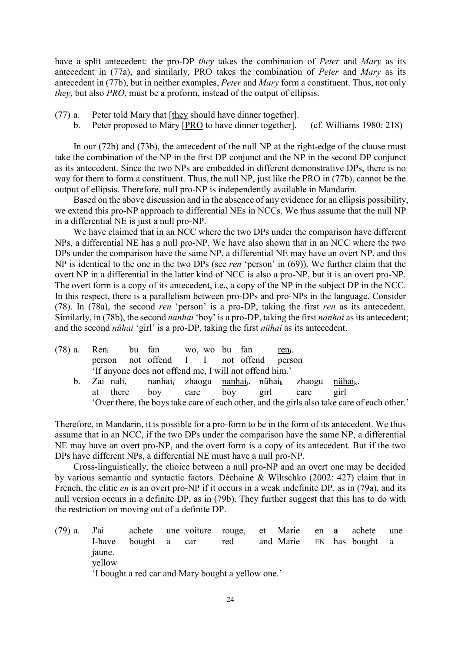have a split antecedent: the pro-DP *they* takes the combination of *Peter* and *Mary* as its antecedent in [\(77a](#page-23-0)), and similarly, PRO takes the combination of *Peter* and *Mary* as its antecedent in [\(77b](#page-23-0)), but in neither examples, *Peter* and *Mary* form a constituent. Thus, not only *they*, but also *PRO*, must be a proform, instead of the output of ellipsis.

- <span id="page-23-0"></span>(77) a. Peter told Mary that [they should have dinner together].
	- b. Peter proposed to Mary [PRO to have dinner together]. (cf. Williams 1980: 218)

In our [\(72b](#page-21-0)) and [\(73b](#page-21-1)), the antecedent of the null NP at the right-edge of the clause must take the combination of the NP in the first DP conjunct and the NP in the second DP conjunct as its antecedent. Since the two NPs are embedded in different demonstrative DPs, there is no way for them to form a constituent. Thus, the null NP, just like the PRO in [\(77b](#page-23-0)), cannot be the output of ellipsis. Therefore, null pro-NP is independently available in Mandarin.

Based on the above discussion and in the absence of any evidence for an ellipsis possibility, we extend this pro-NP approach to differential NEs in NCCs. We thus assume that the null NP in a differential NE is just a null pro-NP.

We have claimed that in an NCC where the two DPs under the comparison have different NPs, a differential NE has a null pro-NP. We have also shown that in an NCC where the two DPs under the comparison have the same NP, a differential NE may have an overt NP, and this NP is identical to the one in the two DPs (see *ren* 'person' in [\(69\)](#page-20-0)). We further claim that the overt NP in a differential in the latter kind of NCC is also a pro-NP, but it is an overt pro-NP. The overt form is a copy of its antecedent, i.e., a copy of the NP in the subject DP in the NCC. In this respect, there is a parallelism between pro-DPs and pro-NPs in the language. Consider [\(78\)](#page-23-1). In [\(78a](#page-23-1)), the second *ren* 'person' is a pro-DP, taking the first *ren* as its antecedent. Similarly, in [\(78b](#page-23-1)), the second *nanhai* 'boy' is a pro-DP, taking the first *nanhai* as its antecedent; and the second *nühai* 'girl' is a pro-DP, taking the first *nühai* as its antecedent.

<span id="page-23-1"></span>

|    |          |     | (78) a. Ren <sub>i</sub> bu fan wo, wo bu fan          |     | $reni$ . |                                                                                                           |                                                                                             |
|----|----------|-----|--------------------------------------------------------|-----|----------|-----------------------------------------------------------------------------------------------------------|---------------------------------------------------------------------------------------------|
|    |          |     | person not offend I I not offend person                |     |          |                                                                                                           |                                                                                             |
|    |          |     | 'If anyone does not offend me, I will not offend him.' |     |          |                                                                                                           |                                                                                             |
| b. |          |     |                                                        |     |          | Zai nali, nanhai <sub>i</sub> zhaogu nanhai <sub>i</sub> , nühai <sub>k</sub> zhaogu nühai <sub>k</sub> . |                                                                                             |
|    | at there | boy | care                                                   | boy | girl     | care                                                                                                      | girl                                                                                        |
|    |          |     |                                                        |     |          |                                                                                                           | 'Over there, the boys take care of each other, and the girls also take care of each other.' |

Therefore, in Mandarin, it is possible for a pro-form to be in the form of its antecedent. We thus assume that in an NCC, if the two DPs under the comparison have the same NP, a differential NE may have an overt pro-NP, and the overt form is a copy of its antecedent. But if the two DPs have different NPs, a differential NE must have a null pro-NP.

Cross-linguistically, the choice between a null pro-NP and an overt one may be decided by various semantic and syntactic factors. Déchaine & Wiltschko (2002: 427) claim that in French, the clitic *en* is an overt pro-NP if it occurs in a weak indefinite DP, as in [\(79a](#page-23-2)), and its null version occurs in a definite DP, as in [\(79b](#page-23-2)). They further suggest that this has to do with the restriction on moving out of a definite DP.

<span id="page-23-2"></span>(79) a. J'ai achete une voiture rouge, et Marie en **a** achete une I-have bought a car red and Marie EN has bought a jaune. yellow 'I bought a red car and Mary bought a yellow one.'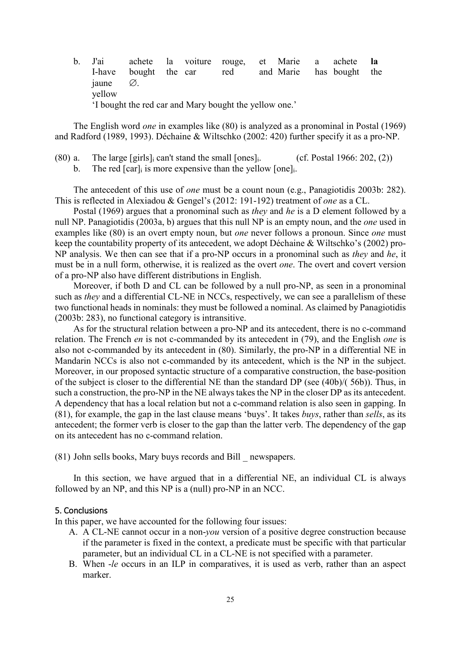b. J'ai achete la voiture rouge, et Marie a achete **la** I-have bought the car red and Marie has bought the jaune ∅. yellow 'I bought the red car and Mary bought the yellow one.'

The English word *one* in examples like [\(80\)](#page-24-0) is analyzed as a pronominal in Postal (1969) and Radford (1989, 1993). Déchaine & Wiltschko (2002: 420) further specify it as a pro-NP.

- <span id="page-24-0"></span> $(80)$  a. The large [girls] can't stand the small [ones]. (cf. Postal 1966: 202, (2))
	- b. The red  $\lceil \operatorname{car} \rceil$  is more expensive than the yellow  $\lceil \operatorname{one} \rceil$ .

The antecedent of this use of *one* must be a count noun (e.g., Panagiotidis 2003b: 282). This is reflected in Alexiadou & Gengel's (2012: 191-192) treatment of *one* as a CL.

Postal (1969) argues that a pronominal such as *they* and *he* is a D element followed by a null NP. Panagiotidis (2003a, b) argues that this null NP is an empty noun, and the *one* used in examples like [\(80\)](#page-24-0) is an overt empty noun, but *one* never follows a pronoun. Since *one* must keep the countability property of its antecedent, we adopt Déchaine & Wiltschko's (2002) pro-NP analysis. We then can see that if a pro-NP occurs in a pronominal such as *they* and *he*, it must be in a null form, otherwise, it is realized as the overt *one*. The overt and covert version of a pro-NP also have different distributions in English.

Moreover, if both D and CL can be followed by a null pro-NP, as seen in a pronominal such as *they* and a differential CL-NE in NCCs, respectively, we can see a parallelism of these two functional heads in nominals: they must be followed a nominal. As claimed by Panagiotidis (2003b: 283), no functional category is intransitive.

As for the structural relation between a pro-NP and its antecedent, there is no c-command relation. The French *en* is not c-commanded by its antecedent in [\(79\)](#page-23-2), and the English *one* is also not c-commanded by its antecedent in [\(80\)](#page-24-0). Similarly, the pro-NP in a differential NE in Mandarin NCCs is also not c-commanded by its antecedent, which is the NP in the subject. Moreover, in our proposed syntactic structure of a comparative construction, the base-position of the subject is closer to the differential NE than the standard DP (see [\(40b](#page-12-0))/( [56b](#page-16-0))). Thus, in such a construction, the pro-NP in the NE always takes the NP in the closer DP as its antecedent. A dependency that has a local relation but not a c-command relation is also seen in gapping. In [\(81\)](#page-24-1), for example, the gap in the last clause means 'buys'. It takes *buys*, rather than *sells*, as its antecedent; the former verb is closer to the gap than the latter verb. The dependency of the gap on its antecedent has no c-command relation.

<span id="page-24-1"></span>(81) John sells books, Mary buys records and Bill \_ newspapers.

In this section, we have argued that in a differential NE, an individual CL is always followed by an NP, and this NP is a (null) pro-NP in an NCC.

## <span id="page-24-2"></span>5. Conclusions

In this paper, we have accounted for the following four issues:

- A. A CL-NE cannot occur in a non-*you* version of a positive degree construction because if the parameter is fixed in the context, a predicate must be specific with that particular parameter, but an individual CL in a CL-NE is not specified with a parameter.
- B. When -*le* occurs in an ILP in comparatives, it is used as verb, rather than an aspect marker.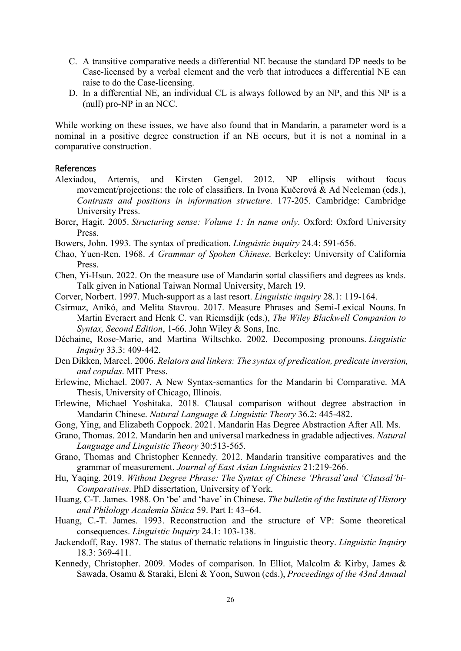- C. A transitive comparative needs a differential NE because the standard DP needs to be Case-licensed by a verbal element and the verb that introduces a differential NE can raise to do the Case-licensing.
- D. In a differential NE, an individual CL is always followed by an NP, and this NP is a (null) pro-NP in an NCC.

While working on these issues, we have also found that in Mandarin, a parameter word is a nominal in a positive degree construction if an NE occurs, but it is not a nominal in a comparative construction.

# <span id="page-25-0"></span>References

- Alexiadou, Artemis, and Kirsten Gengel. 2012. NP ellipsis without focus movement/projections: the role of classifiers. In Ivona Kučerová & Ad Neeleman (eds.), *Contrasts and positions in information structure*. 177-205. Cambridge: Cambridge University Press.
- Borer, Hagit. 2005. *Structuring sense: Volume 1: In name only*. Oxford: Oxford University Press.
- Bowers, John. 1993. The syntax of predication. *Linguistic inquiry* 24.4: 591-656.
- Chao, Yuen-Ren. 1968. *A Grammar of Spoken Chinese*. Berkeley: University of California Press.
- Chen, Yi-Hsun. 2022. On the measure use of Mandarin sortal classifiers and degrees as knds. Talk given in National Taiwan Normal University, March 19.
- Corver, Norbert. 1997. Much-support as a last resort. *Linguistic inquiry* 28.1: 119-164.
- Csirmaz, Anikó, and Melita Stavrou. 2017. Measure Phrases and Semi‐Lexical Nouns. In Martin Everaert and Henk C. van Riemsdijk (eds.), *The Wiley Blackwell Companion to Syntax, Second Edition*, 1-66. John Wiley & Sons, Inc.
- Déchaine, Rose-Marie, and Martina Wiltschko. 2002. Decomposing pronouns. *Linguistic Inquiry* 33.3: 409-442.
- Den Dikken, Marcel. 2006. *Relators and linkers: The syntax of predication, predicate inversion, and copulas*. MIT Press.
- Erlewine, Michael. 2007. A New Syntax-semantics for the Mandarin bi Comparative. MA Thesis, University of Chicago, Illinois.
- Erlewine, Michael Yoshitaka. 2018. Clausal comparison without degree abstraction in Mandarin Chinese. *Natural Language & Linguistic Theory* 36.2: 445-482.
- Gong, Ying, and Elizabeth Coppock. 2021. Mandarin Has Degree Abstraction After All. Ms.
- Grano, Thomas. 2012. Mandarin hen and universal markedness in gradable adjectives. *Natural Language and Linguistic Theory* 30:513-565.
- Grano, Thomas and Christopher Kennedy. 2012. Mandarin transitive comparatives and the grammar of measurement. *Journal of East Asian Linguistics* 21:219-266.
- Hu, Yaqing. 2019. *Without Degree Phrase: The Syntax of Chinese 'Phrasal'and 'Clausal'bi-Comparatives*. PhD dissertation, University of York.
- Huang, C-T. James. 1988. On 'be' and 'have' in Chinese. *The bulletin of the Institute of History and Philology Academia Sinica* 59. Part I: 43–64.
- Huang, C.-T. James. 1993. Reconstruction and the structure of VP: Some theoretical consequences. *Linguistic Inquiry* 24.1: 103-138.
- Jackendoff, Ray. 1987. The status of thematic relations in linguistic theory. *Linguistic Inquiry* 18.3: 369-411.
- Kennedy, Christopher. 2009. Modes of comparison. In Elliot, Malcolm & Kirby, James & Sawada, Osamu & Staraki, Eleni & Yoon, Suwon (eds.), *Proceedings of the 43nd Annual*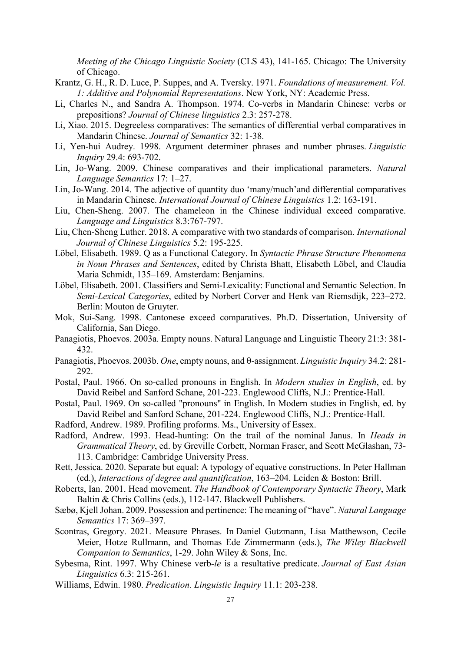*Meeting of the Chicago Linguistic Society* (CLS 43), 141-165. Chicago: The University of Chicago.

- Krantz, G. H., R. D. Luce, P. Suppes, and A. Tversky. 1971. *Foundations of measurement. Vol. 1: Additive and Polynomial Representations*. New York, NY: Academic Press.
- Li, Charles N., and Sandra A. Thompson. 1974. Co-verbs in Mandarin Chinese: verbs or prepositions? *Journal of Chinese linguistics* 2.3: 257-278.
- Li, Xiao. 2015. Degreeless comparatives: The semantics of differential verbal comparatives in Mandarin Chinese. *Journal of Semantics* 32: 1-38.
- Li, Yen-hui Audrey. 1998. Argument determiner phrases and number phrases. *Linguistic Inquiry* 29.4: 693-702.
- Lin, Jo-Wang. 2009. Chinese comparatives and their implicational parameters. *Natural Language Semantics* 17: 1–27.
- Lin, Jo-Wang. 2014. The adjective of quantity duo 'many/much'and differential comparatives in Mandarin Chinese. *International Journal of Chinese Linguistics* 1.2: 163-191.
- Liu, Chen-Sheng. 2007. The chameleon in the Chinese individual exceed comparative. *Language and Linguistics* 8.3:767-797.
- Liu, Chen-Sheng Luther. 2018. A comparative with two standards of comparison. *International Journal of Chinese Linguistics* 5.2: 195-225.
- Löbel, Elisabeth. 1989. Q as a Functional Category. In *Syntactic Phrase Structure Phenomena in Noun Phrases and Sentences*, edited by Christa Bhatt, Elisabeth Löbel, and Claudia Maria Schmidt, 135–169. Amsterdam: Benjamins.
- Löbel, Elisabeth. 2001. Classifiers and Semi-Lexicality: Functional and Semantic Selection. In *Semi-Lexical Categories*, edited by Norbert Corver and Henk van Riemsdijk, 223–272. Berlin: Mouton de Gruyter.
- Mok, Sui-Sang. 1998. Cantonese exceed comparatives. Ph.D. Dissertation, University of California, San Diego.
- Panagiotis, Phoevos. 2003a. Empty nouns. Natural Language and Linguistic Theory 21:3: 381- 432.
- Panagiotis, Phoevos. 2003b. *One*, empty nouns, and θ-assignment. *Linguistic Inquiry* 34.2: 281- 292.
- Postal, Paul. 1966. On so-called pronouns in English. In *Modern studies in English*, ed. by David Reibel and Sanford Schane, 201-223. Englewood Cliffs, N.J.: Prentice-Hall.
- Postal, Paul. 1969. On so-called "pronouns" in English. In Modern studies in English, ed. by David Reibel and Sanford Schane, 201-224. Englewood Cliffs, N.J.: Prentice-Hall.
- Radford, Andrew. 1989. Profiling proforms. Ms., University of Essex.
- Radford, Andrew. 1993. Head-hunting: On the trail of the nominal Janus. In *Heads in Grammatical Theory*, ed. by Greville Corbett, Norman Fraser, and Scott McGlashan, 73- 113. Cambridge: Cambridge University Press.
- Rett, Jessica. 2020. Separate but equal: A typology of equative constructions. In Peter Hallman (ed.), *Interactions of degree and quantification*, 163–204. Leiden & Boston: Brill.
- Roberts, Ian. 2001. Head movement. *The Handbook of Contemporary Syntactic Theory*, Mark Baltin & Chris Collins (eds.), 112-147. Blackwell Publishers.
- Sæbø, Kjell Johan. 2009. Possession and pertinence: The meaning of "have". *Natural Language Semantics* 17: 369–397.
- Scontras, Gregory. 2021. Measure Phrases. In Daniel Gutzmann, Lisa Matthewson, Cecile Meier, Hotze Rullmann, and Thomas Ede Zimmermann (eds.), *The Wiley Blackwell Companion to Semantics*, 1-29. John Wiley & Sons, Inc.
- Sybesma, Rint. 1997. Why Chinese verb-*le* is a resultative predicate. *Journal of East Asian Linguistics* 6.3: 215-261.
- Williams, Edwin. 1980. *Predication. Linguistic Inquiry* 11.1: 203-238.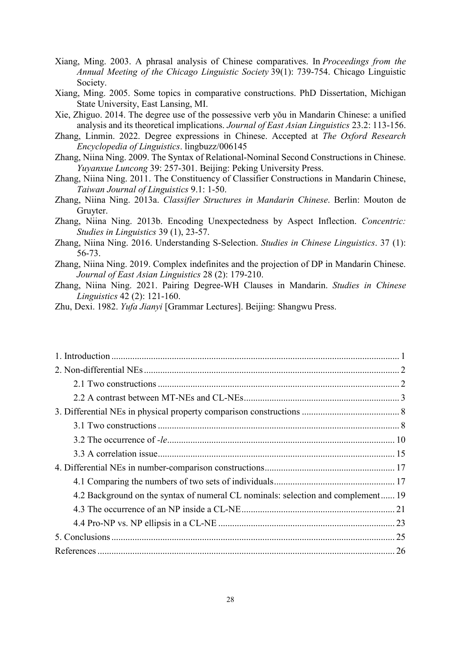- Xiang, Ming. 2003. A phrasal analysis of Chinese comparatives. In *Proceedings from the Annual Meeting of the Chicago Linguistic Society* 39(1): 739-754. Chicago Linguistic Society.
- Xiang, Ming. 2005. Some topics in comparative constructions. PhD Dissertation, Michigan State University, East Lansing, MI.
- Xie, Zhiguo. 2014. The degree use of the possessive verb yǒu in Mandarin Chinese: a unified analysis and its theoretical implications. *Journal of East Asian Linguistics* 23.2: 113-156.
- Zhang, Linmin. 2022. Degree expressions in Chinese. Accepted at *The Oxford Research Encyclopedia of Linguistics*. lingbuzz/006145
- Zhang, Niina Ning. 2009. The Syntax of Relational-Nominal Second Constructions in Chinese. *Yuyanxue Luncong* 39: 257-301. Beijing: Peking University Press.
- Zhang, Niina Ning. 2011. The Constituency of Classifier Constructions in Mandarin Chinese, *Taiwan Journal of Linguistics* 9.1: 1-50.
- Zhang, Niina Ning. 2013a. *[C](https://www.google.com/url?q=https%3A%2F%2Fwww.degruyter.com%2Fviewbooktoc%2Fproduct%2F203858%3Frskey%3Deglj9a%26amp%3Bresult%3D3&sa=D&sntz=1&usg=AOvVaw1C3Hqm5HCV90ANVcDr61_Z)lassifier Structures in Mandarin Chinese*. Berlin: Mouton de Gruyter.
- Zhang, Niina Ning. 2013b. Encoding Unexpectedness by Aspect Inflection. *Concentric: Studies in Linguistics* 39 (1), 23-57.
- Zhang, Niina Ning. 2016. Understanding S-Selection. *Studies in Chinese Linguistics*. 37 (1): 56-73.
- Zhang, Niina Ning. 2019. Complex indefinites and the projection of DP in Mandarin Chinese. *Journal of East Asian Linguistics* 28 (2): 179-210.

Zhang, Niina Ning. 2021. Pairing Degree-WH Clauses in Mandarin. *Studies in Chinese Linguistics* 42 (2): 121-160.

Zhu, Dexi. 1982. *Yufa Jianyi* [Grammar Lectures]. Beijing: Shangwu Press.

| 4.2 Background on the syntax of numeral CL nominals: selection and complement 19 |
|----------------------------------------------------------------------------------|
|                                                                                  |
|                                                                                  |
|                                                                                  |
|                                                                                  |
|                                                                                  |